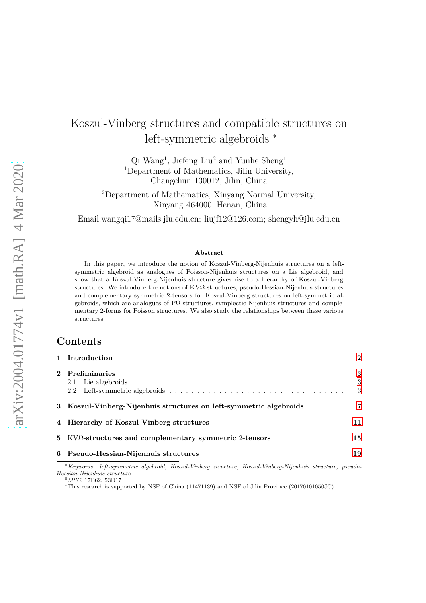# Koszul-Vinberg structures and compatible structures on left-symmetric algebroids <sup>∗</sup>

Qi Wang<sup>1</sup>, Jiefeng Liu<sup>2</sup> and Yunhe Sheng<sup>1</sup> <sup>1</sup>Department of Mathematics, Jilin University, Changchun 130012, Jilin, China

<sup>2</sup>Department of Mathematics, Xinyang Normal University, Xinyang 464000, Henan, China

Email:wangqi17@mails.jlu.edu.cn; liujf12@126.com; shengyh@jlu.edu.cn

#### **Abstract**

In this paper, we introduce the notion of Koszul-Vinberg-Nijenhuis structures on a leftsymmetric algebroid as analogues of Poisson-Nijenhuis structures on a Lie algebroid, and show that a Koszul-Vinberg-Nijenhuis structure gives rise to a hierarchy of Koszul-Vinberg structures. We introduce the notions of KVΩ-structures, pseudo-Hessian-Nijenhuis structures and complementary symmetric 2-tensors for Koszul-Vinberg structures on left-symmetric algebroids, which are analogues of PΩ-structures, symplectic-Nijenhuis structures and complementary 2-forms for Poisson structures. We also study the relationships between these various structures.

## **Contents**

| 1 Introduction                                                     | $\mathbf{2}$  |
|--------------------------------------------------------------------|---------------|
| 2 Preliminaries                                                    | 3<br>-3<br>-3 |
| 3 Koszul-Vinberg-Nijenhuis structures on left-symmetric algebroids | 7             |
| 4 Hierarchy of Koszul-Vinberg structures                           | 11            |
| 5 KVΩ-structures and complementary symmetric 2-tensors             | 15            |
| 6 Pseudo-Hessian-Nijenhuis structures                              | 19            |

<sup>0</sup>*Keywords: left-symmetric algebroid, Koszul-Vinberg structure, Koszul-Vinberg-Nijenhuis structure, pseudo-Hessian-Nijenhuis structure*

<sup>0</sup>*MSC*: 17B62, 53D17

<sup>∗</sup>This research is supported by NSF of China (11471139) and NSF of Jilin Province (20170101050JC).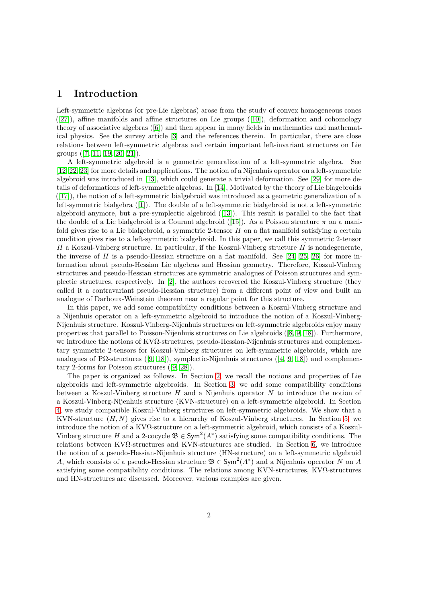## <span id="page-1-0"></span>**1 Introduction**

Left-symmetric algebras (or pre-Lie algebras) arose from the study of convex homogeneous cones ([\[27\]](#page-21-0)), affine manifolds and affine structures on Lie groups([\[10\]](#page-21-1)), deformation and cohomology theory of associative algebras([\[6\]](#page-20-0)) and then appear in many fields in mathematics and mathematical physics. See the survey article [3] and the references therein. In particular, there are close relations between left-symmetric algebras and certain important left-invariant structures on Lie groups([\[7,](#page-20-1) [11,](#page-21-2) [19,](#page-21-3) [20,](#page-21-4) [21\]](#page-21-5)).

A left-symmetric algebroid is a geometric generalization of a left-symmetric algebra. See [\[12,](#page-21-6) [22,](#page-21-7) [23\]](#page-21-8) for more details and applications. The notion of a Nijenhuis operator on a left-symmetric algebroid was introduced in [\[13\]](#page-21-9), which could generate a trivial deformation. See [\[29\]](#page-21-10) for more details of deformations of left-symmetric algebras. In [\[14\]](#page-21-11), Motivated by the theory of Lie biagebroids ([17]), the notion of a left-symmetric bialgebroid was introduced as a geometric generalization of a left-symmetric bialgebra ([1]). The double of a left-symmetric bialgebroid is not a left-symmetric algebroid anymore, but a pre-symplectic algebroid([\[13\]](#page-21-9)). This result is parallel to the fact that the double of a Lie bialgebroid is a Courant algebroid([\[15\]](#page-21-12)). As a Poisson structure *π* on a manifold gives rise to a Lie bialgebroid, a symmetric 2-tensor *H* on a flat manifold satisfying a certain condition gives rise to a left-symmetric bialgebroid. In this paper, we call this symmetric 2-tensor *H* a Koszul-Vinberg structure. In particular, if the Koszul-Vinberg structure *H* is nondegenerate, the inverse of  $H$  is a pseudo-Hessian structure on a flat manifold. See [\[24,](#page-21-13) [25,](#page-21-14) 26] for more information about pseudo-Hessian Lie algebras and Hessian geometry. Therefore, Koszul-Vinberg structures and pseudo-Hessian structures are symmetric analogues of Poisson structures and symplectic structures, respectively. In [\[2\]](#page-20-2), the authors recovered the Koszul-Vinberg structure (they called it a contravariant pseudo-Hessian structure) from a different point of view and built an analogue of Darboux-Weinstein theorem near a regular point for this structure.

In this paper, we add some compatibility conditions between a Koszul-Vinberg structure and a Nijenhuis operator on a left-symmetric algebroid to introduce the notion of a Koszul-Vinberg-Nijenhuis structure. Koszul-Vinberg-Nijenhuis structures on left-symmetric algebroids enjoy many properties that parallel to Poisson-Nijenhuis structures on Lie algebroids([\[8,](#page-20-3) [9,](#page-20-4) [18\]](#page-21-15)). Furthermore, we introduce the notions of KV $\Omega$ -structures, pseudo-Hessian-Nijenhuis structures and complementary symmetric 2-tensors for Koszul-Vinberg structures on left-symmetric algebroids, which are analoguesof PΩ-structures ([\[9,](#page-20-4) [18\]](#page-21-15)), symplectic-Nijenhuis structures ([\[4,](#page-20-5) [9,](#page-20-4) 18]) and complementary 2-forms for Poisson structures([\[9,](#page-20-4) [28\]](#page-21-16)).

The paper is organized as follows. In Section [2,](#page-2-0) we recall the notions and properties of Lie algebroids and left-symmetric algebroids. In Section [3,](#page-6-0) we add some compatibility conditions between a Koszul-Vinberg structure *H* and a Nijenhuis operator *N* to introduce the notion of a Koszul-Vinberg-Nijenhuis structure (KVN-structure) on a left-symmetric algebroid. In Section [4,](#page-10-0) we study compatible Koszul-Vinberg structures on left-symmetric algebroids. We show that a KVN-structure  $(H, N)$  gives rise to a hierarchy of Koszul-Vinberg structures. In Section [5,](#page-14-0) we introduce the notion of a KVΩ-structure on a left-symmetric algebroid, which consists of a Koszul-Vinberg structure *H* and a 2-cocycle  $\mathfrak{B} \in \text{Sym}^2(A^*)$  satisfying some compatibility conditions. The relations between KVΩ-structures and KVN-structures are studied. In Section [6,](#page-18-0) we introduce the notion of a pseudo-Hessian-Nijenhuis structure (HN-structure) on a left-symmetric algebroid *A*, which consists of a pseudo-Hessian structure  $\mathfrak{B} \in \text{Sym}^2(A^*)$  and a Nijenhuis operator *N* on *A* satisfying some compatibility conditions. The relations among KVN-structures, KVΩ-structures and HN-structures are discussed. Moreover, various examples are given.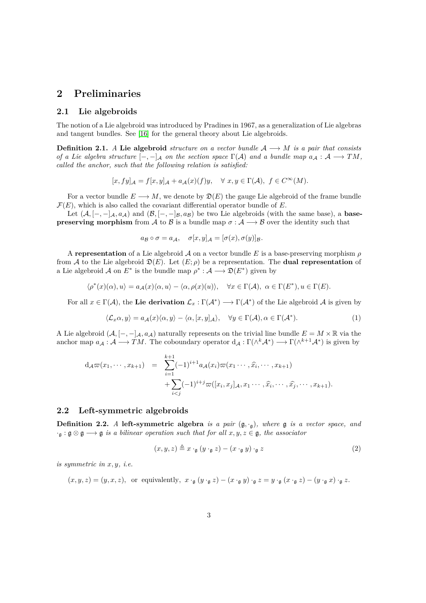## <span id="page-2-1"></span><span id="page-2-0"></span>**2 Preliminaries**

#### **2.1 Lie algebroids**

The notion of a Lie algebroid was introduced by Pradines in 1967, as a generalization of Lie algebras and tangent bundles. See [16] for the general theory about Lie algebroids.

**Definition 2.1.** *A* Lie algebroid *structure on a vector bundle*  $A \rightarrow M$  *is a pair that consists of a Lie algebra structure*  $[-,-]_A$  *on the section space*  $\Gamma(A)$  *and a bundle map*  $a_A : A \longrightarrow TM$ , *called the anchor, such that the following relation is satisfied:*

$$
[x, fy]_{\mathcal{A}} = f[x, y]_{\mathcal{A}} + a_{\mathcal{A}}(x)(f)y, \quad \forall x, y \in \Gamma(\mathcal{A}), \ f \in C^{\infty}(M).
$$

For a vector bundle  $E \longrightarrow M$ , we denote by  $\mathfrak{D}(E)$  the gauge Lie algebroid of the frame bundle  $\mathcal{F}(E)$ , which is also called the covariant differential operator bundle of  $E$ .

Let  $(A, [-, -]_A, a_A)$  and  $(\mathcal{B}, [-, -]_B, a_B)$  be two Lie algebroids (with the same base), a **basepreserving morphism** from A to B is a bundle map  $\sigma : A \rightarrow B$  over the identity such that

$$
a_{\mathcal{B}} \circ \sigma = a_{\mathcal{A}}, \quad \sigma[x, y]_{\mathcal{A}} = [\sigma(x), \sigma(y)]_{\mathcal{B}}.
$$

A **representation** of a Lie algebroid A on a vector bundle *E* is a base-preserving morphism *ρ* from A to the Lie algebroid  $\mathfrak{D}(E)$ . Let  $(E; \rho)$  be a representation. The **dual representation** of a Lie algebroid A on  $E^*$  is the bundle map  $\rho^*: A \longrightarrow \mathfrak{D}(E^*)$  given by

$$
\langle \rho^*(x)(\alpha), u \rangle = a_{\mathcal{A}}(x) \langle \alpha, u \rangle - \langle \alpha, \rho(x)(u) \rangle, \quad \forall x \in \Gamma(\mathcal{A}), \ \alpha \in \Gamma(E^*), u \in \Gamma(E).
$$

For all  $x \in \Gamma(\mathcal{A})$ , the Lie derivation  $\mathcal{L}_x : \Gamma(\mathcal{A}^*) \longrightarrow \Gamma(\mathcal{A}^*)$  of the Lie algebroid  $\mathcal{A}$  is given by

$$
\langle \mathcal{L}_x \alpha, y \rangle = a_{\mathcal{A}}(x) \langle \alpha, y \rangle - \langle \alpha, [x, y]_{\mathcal{A}} \rangle, \quad \forall y \in \Gamma(\mathcal{A}), \alpha \in \Gamma(\mathcal{A}^*).
$$
 (1)

A Lie algebroid  $(A, [-,-]_A, a_A)$  naturally represents on the trivial line bundle  $E = M \times \mathbb{R}$  via the anchor map  $a_{\mathcal{A}}: \mathcal{A} \longrightarrow TM$ . The coboundary operator  $d_{\mathcal{A}}: \Gamma(\wedge^k \mathcal{A}^*) \longrightarrow \Gamma(\wedge^{k+1} \mathcal{A}^*)$  is given by

$$
d_{\mathcal{A}}\varpi(x_1,\dots,x_{k+1}) = \sum_{i=1}^{k+1} (-1)^{i+1} a_{\mathcal{A}}(x_i) \varpi(x_1 \dots,\hat{x_i},\dots,x_{k+1}) + \sum_{i < j} (-1)^{i+j} \varpi([x_i,x_j]_{\mathcal{A}}, x_1 \dots,\hat{x_i},\dots,\hat{x_j},\dots,x_{k+1}).
$$

#### <span id="page-2-2"></span>**2.2 Left-symmetric algebroids**

**Definition 2.2.** *A* **left-symmetric algebra** *is a pair* (g*,* ·g)*, where* g *is a vector space, and* ·<sup>g</sup> : g ⊗ g −→ g *is a bilinear operation such that for all x, y, z* ∈ g*, the associator*

$$
(x, y, z) \triangleq x \cdot_{\mathfrak{g}} (y \cdot_{\mathfrak{g}} z) - (x \cdot_{\mathfrak{g}} y) \cdot_{\mathfrak{g}} z \tag{2}
$$

*is symmetric in x, y, i.e.*

$$
(x, y, z) = (y, x, z)
$$
, or equivalently,  $x \cdot_{\mathfrak{g}} (y \cdot_{\mathfrak{g}} z) - (x \cdot_{\mathfrak{g}} y) \cdot_{\mathfrak{g}} z = y \cdot_{\mathfrak{g}} (x \cdot_{\mathfrak{g}} z) - (y \cdot_{\mathfrak{g}} x) \cdot_{\mathfrak{g}} z$ .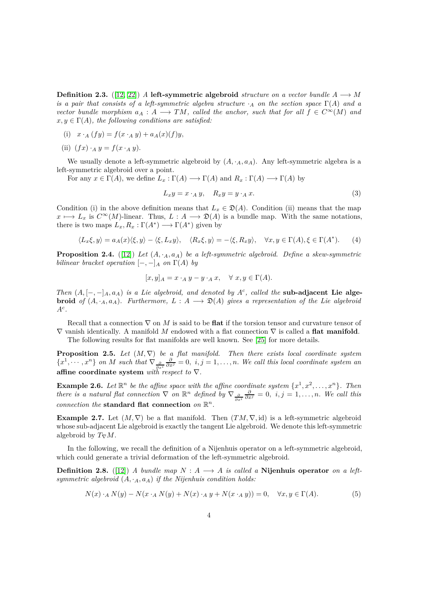**Definition 2.3.** ([\[12,](#page-21-6) [22\]](#page-21-7)) *A* **left-symmetric algebroid** *structure on a vector bundle*  $A \rightarrow M$ *is a pair that consists of a left-symmetric algebra structure*  $\cdot$ *A on the section space*  $\Gamma(A)$  *and a vector bundle morphism*  $a_A : A \longrightarrow TM$ *, called the anchor, such that for all*  $f \in C^{\infty}(M)$  *and*  $x, y \in \Gamma(A)$ *, the following conditions are satisfied:* 

(i)  $x \cdot_A (fy) = f(x \cdot_A y) + a_A(x)(f)y$ ,

(ii)  $(fx) \cdot_A y = f(x \cdot_A y)$ .

We usually denote a left-symmetric algebroid by  $(A, \cdot_A, a_A)$ . Any left-symmetric algebra is a left-symmetric algebroid over a point.

For any  $x \in \Gamma(A)$ , we define  $L_x : \Gamma(A) \longrightarrow \Gamma(A)$  and  $R_x : \Gamma(A) \longrightarrow \Gamma(A)$  by

$$
L_x y = x \cdot_A y, \quad R_x y = y \cdot_A x. \tag{3}
$$

Condition (i) in the above definition means that  $L_x \in \mathfrak{D}(A)$ . Condition (ii) means that the map  $x \mapsto L_x$  is  $C^{\infty}(M)$ -linear. Thus,  $L : A \longrightarrow \mathfrak{D}(A)$  is a bundle map. With the same notations, there is two maps  $L_x, R_x : \Gamma(A^*) \longrightarrow \Gamma(A^*)$  given by

<span id="page-3-0"></span>
$$
\langle L_x \xi, y \rangle = a_A(x) \langle \xi, y \rangle - \langle \xi, L_x y \rangle, \quad \langle R_x \xi, y \rangle = -\langle \xi, R_x y \rangle, \quad \forall x, y \in \Gamma(A), \xi \in \Gamma(A^*). \tag{4}
$$

**Proposition 2.4.** ([\[12\]](#page-21-6)) *Let*  $(A, \cdot_A, a_A)$  *be a left-symmetric algebroid. Define a skew-symmetric bilinear bracket operation*  $[-,-]_A$  *on*  $\Gamma(A)$  *by* 

$$
[x, y]_A = x \cdot_A y - y \cdot_A x, \quad \forall x, y \in \Gamma(A).
$$

*Then*  $(A, [-,-]_A, a_A)$  *is a Lie algebroid, and denoted by*  $A^c$ *, called the* **sub-adjacent Lie algebroid** *of*  $(A, \cdot_A, a_A)$ *. Furthermore,*  $L : A \longrightarrow \mathfrak{D}(A)$  *gives a representation of the Lie algebroid Ac .*

Recall that a connection ∇ on *M* is said to be **flat** if the torsion tensor and curvature tensor of ∇ vanish identically. A manifold *M* endowed with a flat connection ∇ is called a **flat manifold**. The following results for flat manifolds are well known. See [\[25\]](#page-21-14) for more details.

**Proposition 2.5.** *Let* (*M,* ∇) *be a flat manifold. Then there exists local coordinate system*  ${x^1, \cdots, x^n}$  *on M such that*  $\nabla_{\frac{\partial}{\partial x^i}}$  $\frac{\partial}{\partial x^j} = 0$ ,  $i, j = 1, \ldots, n$ . *We call this local coordinate system an* **affine coordinate system**  $with$   $r$ *espect to*  $\nabla$ *.* 

**Example 2.6.** Let  $\mathbb{R}^n$  be the affine space with the affine coordinate system  $\{x^1, x^2, \ldots, x^n\}$ . Then *there is a natural flat connection*  $\nabla$  *on*  $\mathbb{R}^n$  *defined by*  $\nabla_{\frac{\partial}{\partial x^i}}$  $\frac{\partial}{\partial x^j} = 0$ , *i, j* = 1, ..., *n. We call this connection the* **standard flat connection** on  $\mathbb{R}^n$ .

<span id="page-3-1"></span>**Example 2.7.** Let  $(M, \nabla)$  be a flat manifold. Then  $(TM, \nabla, id)$  is a left-symmetric algebroid whose sub-adjacent Lie algebroid is exactly the tangent Lie algebroid. We denote this left-symmetric algebroid by  $T_{\nabla}M$ .

In the following, we recall the definition of a Nijenhuis operator on a left-symmetric algebroid, which could generate a trivial deformation of the left-symmetric algebroid.

**Definition 2.8.** ([\[12\]](#page-21-6)) *A bundle map*  $N: A \longrightarrow A$  *is called a* **Nijenhuis operator** *on a leftsymmetric algebroid* (*A,* ·*A, aA*) *if the Nijenhuis condition holds:*

$$
N(x) \cdot_A N(y) - N(x \cdot_A N(y) + N(x) \cdot_A y + N(x \cdot_A y)) = 0, \quad \forall x, y \in \Gamma(A). \tag{5}
$$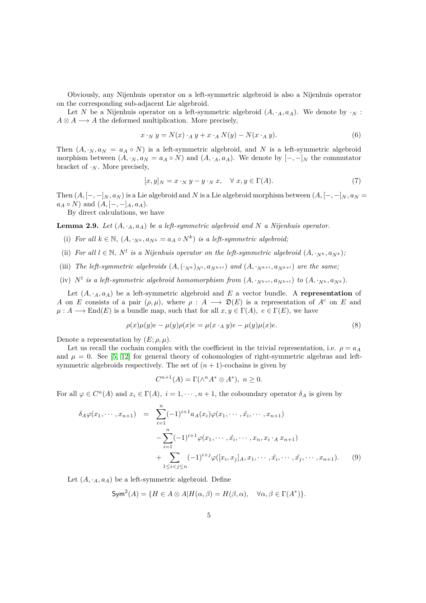Obviously, any Nijenhuis operator on a left-symmetric algebroid is also a Nijenhuis operator on the corresponding sub-adjacent Lie algebroid.

Let *N* be a Nijenhuis operator on a left-symmetric algebroid  $(A, \cdot_A, a_A)$ . We denote by  $\cdot_N$ :  $A \otimes A \longrightarrow A$  the deformed multiplication. More precisely,

$$
x \cdot_N y = N(x) \cdot_A y + x \cdot_A N(y) - N(x \cdot_A y). \tag{6}
$$

Then  $(A, \cdot_N, a_N = a_A \circ N)$  is a left-symmetric algebroid, and N is a left-symmetric algebroid morphism between  $(A, \cdot_N, a_N = a_A \circ N)$  and  $(A, \cdot_A, a_A)$ . We denote by  $[-, -]_N$  the commutator bracket of  $\cdot_N$ . More precisely,

$$
[x, y]_N = x \cdot_N y - y \cdot_N x, \quad \forall x, y \in \Gamma(A). \tag{7}
$$

Then  $(A, [-, -]_N, a_N)$  is a Lie algebroid and *N* is a Lie algebroid morphism between  $(A, [-, -]_N, a_N =$  $a_A \circ N$  and  $(A, [-, -]_A, a_A)$ .

By direct calculations, we have

<span id="page-4-1"></span>**Lemma 2.9.** *Let* (*A,* ·*A, aA*) *be a left-symmetric algebroid and N a Nijenhuis operator.*

- (i) For all  $k \in \mathbb{N}$ ,  $(A, \cdot_{N^k}, a_{N^k} = a_A \circ N^k)$  is a left-symmetric algebroid;
- (ii) *For all*  $l \in \mathbb{N}$ *,*  $N^l$  *is a Nijenhuis operator on the left-symmetric algebroid*  $(A, \cdot_{N^k}, a_{N^k})$ *;*
- (iii) The left-symmetric algebroids  $(A, (\cdot_{N^k})_{N^l}, a_{N^{k+l}})$  and  $(A, \cdot_{N^{k+l}}, a_{N^{k+l}})$  are the same;
- (iv)  $N^l$  is a left-symmetric algebroid homomorphism from  $(A, \cdot_{N^{k+l}}, a_{N^{k+l}})$  to  $(A, \cdot_{N^k}, a_{N^k})$ .

Let  $(A, \cdot_A, a_A)$  be a left-symmetric algebroid and  $E$  a vector bundle. A **representation** of *A* on *E* consists of a pair  $(\rho, \mu)$ , where  $\rho : A \longrightarrow \mathfrak{D}(E)$  is a representation of  $A^c$  on *E* and  $\mu: A \longrightarrow \text{End}(E)$  is a bundle map, such that for all  $x, y \in \Gamma(A), e \in \Gamma(E)$ , we have

$$
\rho(x)\mu(y)e - \mu(y)\rho(x)e = \mu(x \cdot_A y)e - \mu(y)\mu(x)e.
$$
\n(8)

Denote a representation by  $(E; \rho, \mu)$ .

Let us recall the cochain complex with the coefficient in the trivial representation, i.e.  $\rho = a_A$ and  $\mu = 0$ . See [5, [12\]](#page-21-6) for general theory of cohomologies of right-symmetric algebras and leftsymmetric algebroids respectively. The set of  $(n + 1)$ -cochains is given by

$$
C^{n+1}(A) = \Gamma(\wedge^n A^* \otimes A^*), \ n \ge 0.
$$

For all  $\varphi \in C^n(A)$  and  $x_i \in \Gamma(A)$ ,  $i = 1, \dots, n+1$ , the coboundary operator  $\delta_A$  is given by

<span id="page-4-0"></span>
$$
\delta_A \varphi(x_1, \dots, x_{n+1}) = \sum_{i=1}^n (-1)^{i+1} a_A(x_i) \varphi(x_1, \dots, \hat{x_i}, \dots, x_{n+1})
$$
  

$$
- \sum_{i=1}^n (-1)^{i+1} \varphi(x_1, \dots, \hat{x_i}, \dots, x_n, x_i \cdot_A x_{n+1})
$$
  

$$
+ \sum_{1 \le i < j \le n} (-1)^{i+j} \varphi([x_i, x_j]_A, x_1, \dots, \hat{x_i}, \dots, \hat{x_j}, \dots, x_{n+1}).
$$
 (9)

Let  $(A, \cdot_A, a_A)$  be a left-symmetric algebroid. Define

$$
\mathsf{Sym}^2(A) = \{ H \in A \otimes A | H(\alpha, \beta) = H(\beta, \alpha), \quad \forall \alpha, \beta \in \Gamma(A^*) \}.
$$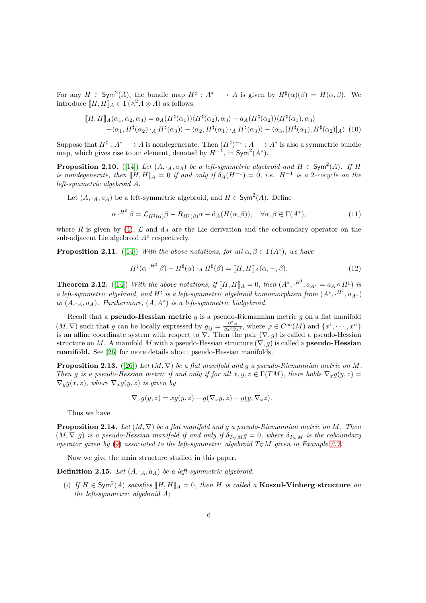For any  $H \in \text{Sym}^2(A)$ , the bundle map  $H^{\sharp}: A^* \longrightarrow A$  is given by  $H^{\sharp}(\alpha)(\beta) = H(\alpha, \beta)$ . We introduce  $[[H, H]]_A \in \Gamma(\wedge^2 A \otimes A)$  as follows:

<span id="page-5-1"></span>
$$
[H, H]_A(\alpha_1, \alpha_2, \alpha_3) = a_A (H^{\sharp}(\alpha_1)) \langle H^{\sharp}(\alpha_2), \alpha_3 \rangle - a_A (H^{\sharp}(\alpha_2)) \langle H^{\sharp}(\alpha_1), \alpha_3 \rangle + \langle \alpha_1, H^{\sharp}(\alpha_2) \cdot_A H^{\sharp}(\alpha_3) \rangle - \langle \alpha_2, H^{\sharp}(\alpha_1) \cdot_A H^{\sharp}(\alpha_3) \rangle - \langle \alpha_3, [H^{\sharp}(\alpha_1), H^{\sharp}(\alpha_2)]_A \rangle.
$$
(10)

Suppose that  $H^{\sharp}: A^* \longrightarrow A$  is nondegenerate. Then  $(H^{\sharp})^{-1}: A \longrightarrow A^*$  is also a symmetric bundle map, which gives rise to an element, denoted by  $H^{-1}$ , in  $Sym^2(A^*)$ .

<span id="page-5-0"></span>**Proposition 2.10.** ([\[14\]](#page-21-11)) Let  $(A, \cdot_A, a_A)$  be a left-symmetric algebroid and  $H \in \text{Sym}^2(A)$ . If H *is nondegenerate, then*  $\llbracket H,H \rrbracket_A = 0$  *if and only if*  $\delta_A(H^{-1}) = 0$ *, i.e.*  $H^{-1}$  *is a* 2*-cocycle on the left-symmetric algebroid A.*

Let  $(A, \cdot_A, a_A)$  be a left-symmetric algebroid, and  $H \in \text{Sym}^2(A)$ . Define

<span id="page-5-2"></span>
$$
\alpha \cdot^{H^{\sharp}} \beta = \mathcal{L}_{H^{\sharp}(\alpha)} \beta - R_{H^{\sharp}(\beta)} \alpha - d_A(H(\alpha, \beta)), \quad \forall \alpha, \beta \in \Gamma(A^*), \tag{11}
$$

where *R* is given by [\(4\)](#page-3-0),  $\mathcal{L}$  and  $d_A$  are the Lie derivation and the coboundary operator on the sub-adjacent Lie algebroid *A<sup>c</sup>* respectively.

<span id="page-5-4"></span>**Proposition 2.11.** ([\[14\]](#page-21-11)) *With the above notations, for all*  $\alpha, \beta \in \Gamma(A^*)$ *, we have* 

$$
H^{\sharp}(\alpha \cdot^{H^{\sharp}} \beta) - H^{\sharp}(\alpha) \cdot_A H^{\sharp}(\beta) = [H, H]_A(\alpha, -, \beta). \tag{12}
$$

<span id="page-5-3"></span>**Theorem 2.12.** ([\[14\]](#page-21-11)) *With the above notations, if*  $[\![H, H]\!]_A = 0$ *, then*  $(A^*, \cdot^{H^{\sharp}}, a_{A^*} = a_A \circ H^{\sharp})$  *is a left-symmetric algebroid, and*  $H^{\sharp}$  *is a left-symmetric algebroid homomorphism from*  $(A^*, \cdot^{H^{\sharp}}, a_{A^*})$ *to* (*A,* ·*A, aA*)*. Furthermore,* (*A, A*<sup>∗</sup> ) *is a left-symmetric bialgebroid.*

Recall that a **pseudo-Hessian metric** *g* is a pseudo-Riemannian metric *g* on a flat manifold  $(M, \nabla)$  such that g can be locally expressed by  $g_{ij} = \frac{\partial^2 \varphi}{\partial x^i \partial x^j}$ , where  $\varphi \in C^{\infty}(M)$  and  $\{x^1, \dots, x^n\}$ is an affine coordinate system with respect to ∇. Then the pair (∇*, g*) is called a pseudo-Hessian structure on *M*. A manifold *M* with a pseudo-Hessian structure  $(\nabla, g)$  is called a **pseudo-Hessian manifold.** See [26] for more details about pseudo-Hessian manifolds.

**Proposition 2.13.** ([26]) Let  $(M, \nabla)$  be a flat manifold and a a pseudo-Riemannian metric on M. *Then g is a pseudo-Hessian metric if and only if for all*  $x, y, z \in \Gamma(TM)$ , *there holds*  $\nabla_x q(y, z) =$  $\nabla_y g(x, z)$ *, where*  $\nabla_x g(y, z)$  *is given by* 

$$
\nabla_x g(y, z) = xg(y, z) - g(\nabla_x y, z) - g(y, \nabla_x z).
$$

Thus we have

**Proposition 2.14.** Let  $(M, \nabla)$  be a flat manifold and g a pseudo-Riemannian metric on M. Then  $(M, \nabla, g)$  *is a pseudo-Hessian manifold if and only if*  $\delta_{T \nabla M} g = 0$ , where  $\delta_{T \nabla M}$  *is the coboundary operator given by* [\(9\)](#page-4-0) *associated to the left-symmetric algebroid*  $T_{\nabla}M$  *given in Example* [2.7.](#page-3-1)

Now we give the main structure studied in this paper.

**Definition 2.15.** *Let*  $(A, \cdot_A, a_A)$  *be a left-symmetric algebroid.* 

(i) If  $H \in Sym^2(A)$  satisfies  $[[H, H]]_A = 0$ , then  $H$  is called a **Koszul-Vinberg structure** on *the left-symmetric algebroid A;*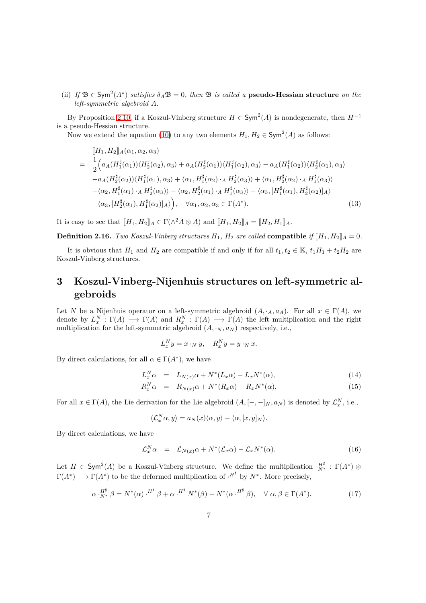(ii) If  $\mathfrak{B} \in \text{Sym}^2(A^*)$  *satisfies*  $\delta_A \mathfrak{B} = 0$ *, then*  $\mathfrak{B}$  *is called a* **pseudo-Hessian structure** *on the left-symmetric algebroid A.*

By Proposition [2.10,](#page-5-0) if a Koszul-Vinberg structure  $H \in \text{Sym}^2(A)$  is nondegenerate, then  $H^{-1}$ is a pseudo-Hessian structure.

Now we extend the equation [\(10\)](#page-5-1) to any two elements  $H_1, H_2 \in \text{Sym}^2(A)$  as follows:

$$
[H_1, H_2]_A(\alpha_1, \alpha_2, \alpha_3)
$$
\n
$$
= \frac{1}{2} \Big( a_A (H_1^{\sharp}(\alpha_1)) \langle H_2^{\sharp}(\alpha_2), \alpha_3 \rangle + a_A (H_2^{\sharp}(\alpha_1)) \langle H_1^{\sharp}(\alpha_2), \alpha_3 \rangle - a_A (H_1^{\sharp}(\alpha_2)) \langle H_2^{\sharp}(\alpha_1), \alpha_3 \rangle
$$
\n
$$
-a_A (H_2^{\sharp}(\alpha_2)) \langle H_1^{\sharp}(\alpha_1), \alpha_3 \rangle + \langle \alpha_1, H_1^{\sharp}(\alpha_2) \cdot_A H_2^{\sharp}(\alpha_3) \rangle + \langle \alpha_1, H_2^{\sharp}(\alpha_2) \cdot_A H_1^{\sharp}(\alpha_3) \rangle
$$
\n
$$
- \langle \alpha_2, H_1^{\sharp}(\alpha_1) \cdot_A H_2^{\sharp}(\alpha_3) \rangle - \langle \alpha_2, H_2^{\sharp}(\alpha_1) \cdot_A H_1^{\sharp}(\alpha_3) \rangle - \langle \alpha_3, [H_1^{\sharp}(\alpha_1), H_2^{\sharp}(\alpha_2)]_A \rangle
$$
\n
$$
- \langle \alpha_3, [H_2^{\sharp}(\alpha_1), H_1^{\sharp}(\alpha_2)]_A \rangle \Big), \quad \forall \alpha_1, \alpha_2, \alpha_3 \in \Gamma(A^*).
$$
\n(13)

It is easy to see that  $[[H_1, H_2]]_A \in \Gamma(\wedge^2 A \otimes A)$  and  $[[H_1, H_2]]_A = [[H_2, H_1]]_A$ .

**Definition 2.16.** *Two Koszul-Vinberg structures*  $H_1$ ,  $H_2$  *are called* **compatible** *if*  $\llbracket H_1, H_2 \rrbracket_A = 0$ .

It is obvious that  $H_1$  and  $H_2$  are compatible if and only if for all  $t_1, t_2 \in \mathbb{K}$ ,  $t_1H_1 + t_2H_2$  are Koszul-Vinberg structures.

## <span id="page-6-0"></span>**3 Koszul-Vinberg-Nijenhuis structures on left-symmetric algebroids**

Let *N* be a Nijenhuis operator on a left-symmetric algebroid  $(A, \cdot_A, a_A)$ . For all  $x \in \Gamma(A)$ , we denote by  $L_x^N : \Gamma(A) \longrightarrow \Gamma(A)$  and  $R_x^N : \Gamma(A) \longrightarrow \Gamma(A)$  the left multiplication and the right multiplication for the left-symmetric algebroid  $(A, \cdot_N, a_N)$  respectively, i.e.,

$$
L_x^N y = x \cdot_N y, \quad R_x^N y = y \cdot_N x.
$$

By direct calculations, for all  $\alpha \in \Gamma(A^*)$ , we have

<span id="page-6-2"></span>
$$
L_x^N \alpha = L_{N(x)} \alpha + N^*(L_x \alpha) - L_x N^*(\alpha), \qquad (14)
$$

$$
R_x^N \alpha = R_{N(x)} \alpha + N^*(R_x \alpha) - R_x N^*(\alpha). \qquad (15)
$$

For all  $x \in \Gamma(A)$ , the Lie derivation for the Lie algebroid  $(A, [-, -]_N, a_N)$  is denoted by  $\mathcal{L}^N_x$ , i.e.,

$$
\langle \mathcal{L}_x^N \alpha, y \rangle = a_N(x) \langle \alpha, y \rangle - \langle \alpha, [x, y]_N \rangle.
$$

By direct calculations, we have

<span id="page-6-1"></span>
$$
\mathcal{L}_x^N \alpha = \mathcal{L}_{N(x)} \alpha + N^*(\mathcal{L}_x \alpha) - \mathcal{L}_x N^*(\alpha). \tag{16}
$$

Let  $H \in Sym^2(A)$  be a Koszul-Vinberg structure. We define the multiplication  $\cdot_{N^*}^{H^{\sharp}} : \Gamma(A^*) \otimes$  $\Gamma(A^*) \longrightarrow \Gamma(A^*)$  to be the deformed multiplication of  $\cdot^{H^{\sharp}}$  by  $N^*$ . More precisely,

$$
\alpha \cdot_{N^*}^{H^{\sharp}} \beta = N^*(\alpha) \cdot^{H^{\sharp}} \beta + \alpha \cdot^{H^{\sharp}} N^*(\beta) - N^*(\alpha \cdot^{H^{\sharp}} \beta), \quad \forall \alpha, \beta \in \Gamma(A^*). \tag{17}
$$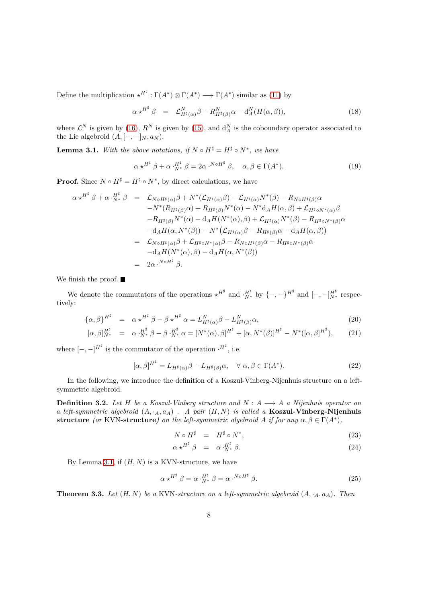Define the multiplication  $\star^{H^{\sharp}} : \Gamma(A^*) \otimes \Gamma(A^*) \longrightarrow \Gamma(A^*)$  similar as [\(11\)](#page-5-2) by

$$
\alpha \star^{H^{\sharp}} \beta = \mathcal{L}_{H^{\sharp}(\alpha)}^{N} \beta - R_{H^{\sharp}(\beta)}^{N} \alpha - d_{A}^{N} (H(\alpha, \beta)), \qquad (18)
$$

where  $\mathcal{L}^N$  is given by [\(16\)](#page-6-1),  $R^N$  is given by [\(15\)](#page-6-2), and  $d_A^N$  is the coboundary operator associated to the Lie algebroid  $(A, [-,-]_N, a_N)$ .

<span id="page-7-0"></span>**Lemma 3.1.** *With the above notations, if*  $N \circ H^{\sharp} = H^{\sharp} \circ N^*$ *, we have* 

$$
\alpha \star^{H^{\sharp}} \beta + \alpha \cdot N^{\sharp} \beta = 2\alpha \cdot N^{\circ H^{\sharp}} \beta, \quad \alpha, \beta \in \Gamma(A^{*}).
$$
 (19)

**Proof.** Since  $N \circ H^{\sharp} = H^{\sharp} \circ N^*$ , by direct calculations, we have

$$
\alpha \star^{H^{\sharp}} \beta + \alpha \cdot^{H^{\sharp}}_{N^{*}} \beta = \mathcal{L}_{N \circ H^{\sharp}(\alpha)} \beta + N^{*}(\mathcal{L}_{H^{\sharp}(\alpha)} \beta) - \mathcal{L}_{H^{\sharp}(\alpha)} N^{*}(\beta) - R_{N \circ H^{\sharp}(\beta)} \alpha \n- N^{*}(R_{H^{\sharp}(\beta)} \alpha) + R_{H^{\sharp}(\beta)} N^{*}(\alpha) - N^{*} d_{A} H(\alpha, \beta) + \mathcal{L}_{H^{\sharp} \circ N^{*}(\alpha)} \beta \n- R_{H^{\sharp}(\beta)} N^{*}(\alpha) - d_{A} H(N^{*}(\alpha), \beta) + \mathcal{L}_{H^{\sharp}(\alpha)} N^{*}(\beta) - R_{H^{\sharp} \circ N^{*}(\beta)} \alpha \n- d_{A} H(\alpha, N^{*}(\beta)) - N^{*}(\mathcal{L}_{H^{\sharp}(\alpha)} \beta - R_{H^{\sharp}(\beta)} \alpha - d_{A} H(\alpha, \beta)) \n= \mathcal{L}_{N \circ H^{\sharp}(\alpha)} \beta + \mathcal{L}_{H^{\sharp} \circ N^{*}(\alpha)} \beta - R_{N \circ H^{\sharp}(\beta)} \alpha - R_{H^{\sharp} \circ N^{*}(\beta)} \alpha \n- d_{A} H(N^{*}(\alpha), \beta) - d_{A} H(\alpha, N^{*}(\beta)) \n= 2\alpha \cdot^{N \circ H^{\sharp}} \beta.
$$

We finish the proof.  $\blacksquare$ 

We denote the commutators of the operations  $\star^{H^{\sharp}}$  and  $\cdot^{H^{\sharp}}_{N^*}$  by  $\{-,-\}^{H^{\sharp}}$  and  $[-,-]^{H^{\sharp}}_{N^*}$  respectively:

$$
\{\alpha,\beta\}^{H^{\sharp}} = \alpha \star^{H^{\sharp}} \beta - \beta \star^{H^{\sharp}} \alpha = L_{H^{\sharp}(\alpha)}^{N} \beta - L_{H^{\sharp}(\beta)}^{N} \alpha,
$$
\n(20)

$$
[\alpha, \beta]_{N^*}^{H^{\sharp}} = \alpha \cdot_{N^*}^{H^{\sharp}} \beta - \beta \cdot_{N^*}^{H^{\sharp}} \alpha = [N^*(\alpha), \beta]^{H^{\sharp}} + [\alpha, N^*(\beta)]^{H^{\sharp}} - N^*([\alpha, \beta]^{H^{\sharp}}), \qquad (21)
$$

where  $[-, -]^{H^{\sharp}}$  is the commutator of the operation  $\cdot^{H^{\sharp}}$ , i.e.

$$
[\alpha, \beta]^{H^{\sharp}} = L_{H^{\sharp}(\alpha)}\beta - L_{H^{\sharp}(\beta)}\alpha, \quad \forall \alpha, \beta \in \Gamma(A^*). \tag{22}
$$

In the following, we introduce the definition of a Koszul-Vinberg-Nijenhuis structure on a leftsymmetric algebroid.

**Definition 3.2.** *Let H be a Koszul-Vinberg structure and*  $N : A \longrightarrow A$  *a Nijenhuis operator on a left-symmetric algebroid* (*A,* ·*A, aA*) *. A pair* (*H, N*) *is called a* **Koszul-Vinberg-Nijenhuis structure** (or KVN-structure) on the left-symmetric algebroid *A* if for any  $\alpha, \beta \in \Gamma(A^*)$ ,

<span id="page-7-1"></span>
$$
N \circ H^{\sharp} = H^{\sharp} \circ N^{*}, \tag{23}
$$

$$
\alpha \star^{H^{\sharp}} \beta = \alpha \cdot^{H^{\sharp}}_{N^*} \beta. \tag{24}
$$

By Lemma [3.1,](#page-7-0) if  $(H, N)$  is a KVN-structure, we have

<span id="page-7-2"></span>
$$
\alpha \star^{H^{\sharp}} \beta = \alpha \cdot^{H^{\sharp}}_{N^*} \beta = \alpha \cdot^{N \circ H^{\sharp}} \beta. \tag{25}
$$

<span id="page-7-3"></span>**Theorem 3.3.** *Let*  $(H, N)$  *be a* KVN-structure on a left-symmetric algebroid  $(A, \cdot_A, a_A)$ *. Then*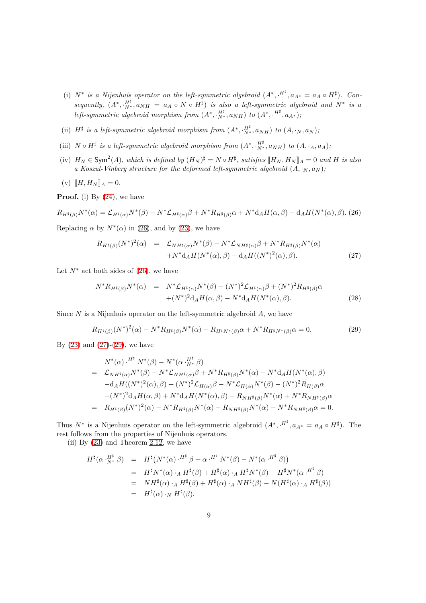- (i)  $N^*$  is a Nijenhuis operator on the left-symmetric algebroid  $(A^*, H^*, a_{A^*} = a_A \circ H^{\sharp})$ . Con*sequently,*  $(A^*, \cdot^{H^{\sharp}}_{N^*}, a_{NH} = a_A \circ N \circ H^{\sharp})$  *is also a left-symmetric algebroid and*  $N^*$  *is a left-symmetric algebroid morphism from*  $(A^*, \cdot^{H^{\sharp}}_{N^*}, a_{NH})$  *to*  $(A^*, \cdot^{H^{\sharp}}, a_{A^*})$ ;
- (ii)  $H^{\sharp}$  is a left-symmetric algebroid morphism from  $(A^*, \cdot_{N^*}^{H^{\sharp}}, a_{NH})$  to  $(A, \cdot_N, a_N)$ ;
- (iii)  $N \circ H^{\sharp}$  is a left-symmetric algebroid morphism from  $(A^*, \cdot^{H^{\sharp}}_{N^*}, a_{NH})$  to  $(A, \cdot_A, a_A)$ ;
- (iv)  $H_N \in \text{Sym}^2(A)$ , which is defined by  $(H_N)^{\sharp} = N \circ H^{\sharp}$ , satisfies  $[[H_N, H_N]]_A = 0$  and H is also *a Koszul-Vinberg structure for the deformed left-symmetric algebroid*  $(A, \cdot_N, a_N)$ ;
- $(V)$   $[H, H_N]_A = 0.$

**Proof.** (i) By [\(24\)](#page-7-1), we have

<span id="page-8-0"></span>
$$
R_{H^{\sharp}(\beta)}N^*(\alpha) = \mathcal{L}_{H^{\sharp}(\alpha)}N^*(\beta) - N^*\mathcal{L}_{H^{\sharp}(\alpha)}\beta + N^*R_{H^{\sharp}(\beta)}\alpha + N^*d_AH(\alpha,\beta) - d_AH(N^*(\alpha),\beta).
$$
 (26)

Replacing  $\alpha$  by  $N^*(\alpha)$  in [\(26\)](#page-8-0), and by [\(23\)](#page-7-1), we have

<span id="page-8-1"></span>
$$
R_{H^{\sharp}(\beta)}(N^{*})^{2}(\alpha) = \mathcal{L}_{NH^{\sharp}(\alpha)}N^{*}(\beta) - N^{*}\mathcal{L}_{NH^{\sharp}(\alpha)}\beta + N^{*}R_{H^{\sharp}(\beta)}N^{*}(\alpha) + N^{*}\mathrm{d}_{A}H(N^{*}(\alpha),\beta) - \mathrm{d}_{A}H((N^{*})^{2}(\alpha),\beta).
$$
 (27)

Let  $N^*$  act both sides of  $(26)$ , we have

$$
N^* R_{H^{\sharp}(\beta)} N^*(\alpha) = N^* \mathcal{L}_{H^{\sharp}(\alpha)} N^*(\beta) - (N^*)^2 \mathcal{L}_{H^{\sharp}(\alpha)} \beta + (N^*)^2 R_{H^{\sharp}(\beta)} \alpha + (N^*)^2 d_A H(\alpha, \beta) - N^* d_A H(N^*(\alpha), \beta).
$$
 (28)

Since *N* is a Nijenhuis operator on the left-symmetric algebroid *A*, we have

<span id="page-8-2"></span>
$$
R_{H^{\sharp}(\beta)}(N^*)^2(\alpha) - N^*R_{H^{\sharp}(\beta)}N^*(\alpha) - R_{H^{\sharp}N^*(\beta)}\alpha + N^*R_{H^{\sharp}N^*(\beta)}\alpha = 0.
$$
 (29)

By  $(23)$  and  $(27)-(29)$  $(27)-(29)$ , we have

$$
N^*(\alpha) \cdot^{H^{\sharp}} N^*(\beta) - N^*(\alpha \cdot^{H^{\sharp}}_{N^*} \beta)
$$
  
=  $\mathcal{L}_{NH^{\sharp}(\alpha)} N^*(\beta) - N^* \mathcal{L}_{NH^{\sharp}(\alpha)} \beta + N^* R_{H^{\sharp}(\beta)} N^*(\alpha) + N^* d_A H(N^*(\alpha), \beta)$   
 $-d_A H((N^*)^2(\alpha), \beta) + (N^*)^2 \mathcal{L}_{H(\alpha)} \beta - N^* \mathcal{L}_{H(\alpha)} N^*(\beta) - (N^*)^2 R_{H(\beta)} \alpha$   
 $- (N^*)^2 d_A H(\alpha, \beta) + N^* d_A H(N^*(\alpha), \beta) - R_{NH^{\sharp}(\beta)} N^*(\alpha) + N^* R_{NH^{\sharp}(\beta)} \alpha$   
=  $R_{H^{\sharp}(\beta)} (N^*)^2(\alpha) - N^* R_{H^{\sharp}(\beta)} N^*(\alpha) - R_{NH^{\sharp}(\beta)} N^*(\alpha) + N^* R_{NH^{\sharp}(\beta)} \alpha = 0.$ 

Thus  $N^*$  is a Nijenhuis operator on the left-symmetric algebroid  $(A^*, \cdot^{H^{\sharp}}, a_{A^*} = a_A \circ H^{\sharp})$ . The rest follows from the properties of Nijenhuis operators.

(ii) By [\(23\)](#page-7-1) and Theorem [2.12,](#page-5-3) we have

$$
H^{\sharp}(\alpha \cdot N^{\sharp} \beta) = H^{\sharp}(N^*(\alpha) \cdot H^{\sharp} \beta + \alpha \cdot H^{\sharp} N^*(\beta) - N^*(\alpha \cdot H^{\sharp} \beta))
$$
  
\n
$$
= H^{\sharp} N^*(\alpha) \cdot_A H^{\sharp}(\beta) + H^{\sharp}(\alpha) \cdot_A H^{\sharp} N^*(\beta) - H^{\sharp} N^*(\alpha \cdot H^{\sharp} \beta)
$$
  
\n
$$
= NH^{\sharp}(\alpha) \cdot_A H^{\sharp}(\beta) + H^{\sharp}(\alpha) \cdot_A NH^{\sharp}(\beta) - N(H^{\sharp}(\alpha) \cdot_A H^{\sharp}(\beta))
$$
  
\n
$$
= H^{\sharp}(\alpha) \cdot_N H^{\sharp}(\beta).
$$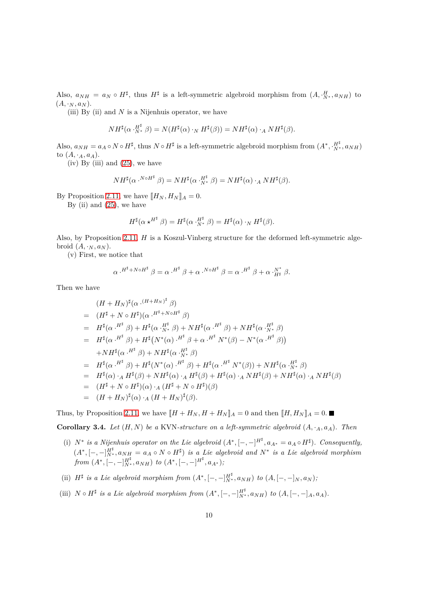Also,  $a_{NH} = a_N \circ H^{\sharp}$ , thus  $H^{\sharp}$  is a left-symmetric algebroid morphism from  $(A, \frac{H}{N^*}, a_{NH})$  to  $(A, \cdot_N, a_N).$ 

(iii) By (ii) and *N* is a Nijenhuis operator, we have

$$
NH^{\sharp}(\alpha \cdot N^{\sharp} \beta) = N(H^{\sharp}(\alpha) \cdot_N H^{\sharp}(\beta)) = NH^{\sharp}(\alpha) \cdot_A NH^{\sharp}(\beta).
$$

Also,  $a_{NH} = a_A \circ N \circ H^{\sharp}$ , thus  $N \circ H^{\sharp}$  is a left-symmetric algebroid morphism from  $(A^*, \frac{H^{\sharp}}{N^*}, a_{NH})$ to  $(A, \cdot_A, a_A)$ .

 $(iv) By (iii) and (25), we have$  $(iv) By (iii) and (25), we have$  $(iv) By (iii) and (25), we have$ 

$$
NH^\sharp(\alpha \cdot ^{N \circ H^\sharp}\beta) = NH^\sharp(\alpha \cdot ^{H^\sharp}_ {N^*}\beta) = NH^\sharp(\alpha) \cdot _A NH^\sharp(\beta).
$$

By Proposition [2.11,](#page-5-4) we have  $[[H_N, H_N]]_A = 0$ .

By (ii) and  $(25)$ , we have

$$
H^{\sharp}(\alpha \star^{H^{\sharp}} \beta) = H^{\sharp}(\alpha \cdot^{H^{\sharp}}_{N^*} \beta) = H^{\sharp}(\alpha) \cdot_{N} H^{\sharp}(\beta).
$$

Also, by Proposition [2.11,](#page-5-4) *H* is a Koszul-Vinberg structure for the deformed left-symmetric algebroid  $(A, \cdot_N, a_N)$ .

(v) First, we notice that

$$
\alpha \cdot^{H^\sharp+N\circ H^\sharp}\beta=\alpha \cdot^{H^\sharp}\beta+\alpha \cdot^{N\circ H^\sharp}\beta=\alpha \cdot^{H^\sharp}\beta+\alpha \cdot^{N^*}_{H^\sharp}\beta.
$$

Then we have

$$
(H + H_N)^{\sharp}(\alpha \cdot (H + H_N)^{\sharp} \beta)
$$
  
\n
$$
= (H^{\sharp} + N \circ H^{\sharp})(\alpha \cdot H^{\sharp} + N \circ H^{\sharp} \beta)
$$
  
\n
$$
= H^{\sharp}(\alpha \cdot H^{\sharp} \beta) + H^{\sharp}(\alpha \cdot H^{\sharp} \beta) + NH^{\sharp}(\alpha \cdot H^{\sharp} \beta) + NH^{\sharp}(\alpha \cdot H^{\sharp} \beta)
$$
  
\n
$$
= H^{\sharp}(\alpha \cdot H^{\sharp} \beta) + H^{\sharp}(N^*(\alpha) \cdot H^{\sharp} \beta + \alpha \cdot H^{\sharp} N^*(\beta) - N^*(\alpha \cdot H^{\sharp} \beta))
$$
  
\n
$$
+ NH^{\sharp}(\alpha \cdot H^{\sharp} \beta) + NH^{\sharp}(\alpha \cdot H^{\sharp} \beta)
$$
  
\n
$$
= H^{\sharp}(\alpha \cdot H^{\sharp} \beta) + H^{\sharp}(N^*(\alpha) \cdot H^{\sharp} \beta) + H^{\sharp}(\alpha \cdot H^{\sharp} N^*(\beta)) + NH^{\sharp}(\alpha \cdot H^{\sharp} \beta)
$$
  
\n
$$
= H^{\sharp}(\alpha) \cdot {}_{A} H^{\sharp}(\beta) + NH^{\sharp}(\alpha) \cdot {}_{A} H^{\sharp}(\beta) + H^{\sharp}(\alpha) \cdot {}_{A} NH^{\sharp}(\beta) + NH^{\sharp}(\alpha) \cdot {}_{A} NH^{\sharp}(\beta)
$$
  
\n
$$
= (H^{\sharp} + N \circ H^{\sharp})(\alpha) \cdot {}_{A} (H^{\sharp} + N \circ H^{\sharp})(\beta)
$$
  
\n
$$
= (H + H_N)^{\sharp}(\alpha) \cdot {}_{A} (H + H_N)^{\sharp}(\beta).
$$

Thus, by Proposition [2.11,](#page-5-4) we have  $[[H + H_N, H + H_N]]_A = 0$  and then  $[[H, H_N]]_A = 0$ .

**Corollary 3.4.** *Let* (*H, N*) *be a* KVN*-structure on a left-symmetric algebroid* (*A,* ·*A, aA*)*. Then*

- (i)  $N^*$  is a Nijenhuis operator on the Lie algebroid  $(A^*, [-, -]^{H^*}, a_{A^*} = a_A \circ H^{\sharp})$ . Consequently,  $(A^*, [-,-]_{N^*}^{H^{\sharp}}, a_{NH} = a_A \circ N \circ H^{\sharp})$  *is a Lie algebroid and*  $N^*$  *is a Lie algebroid morphism from*  $(A^*, [-, -]_{N^*}^{\mathbf{H}^{\sharp}}, a_{NH})$  *to*  $(A^*, [-, -]^{\mathbf{H}^{\sharp}}, a_{A^*});$
- (ii)  $H^{\sharp}$  is a Lie algebroid morphism from  $(A^*, [-, -]_{N^*}^H, a_{NH})$  to  $(A, [-, -]_N, a_N)$ ;
- (iii)  $N \circ H^{\sharp}$  is a Lie algebroid morphism from  $(A^*, [-, -]_{N^*}^{H^{\sharp}}, a_{NH})$  to  $(A, [-, -]_A, a_A)$ .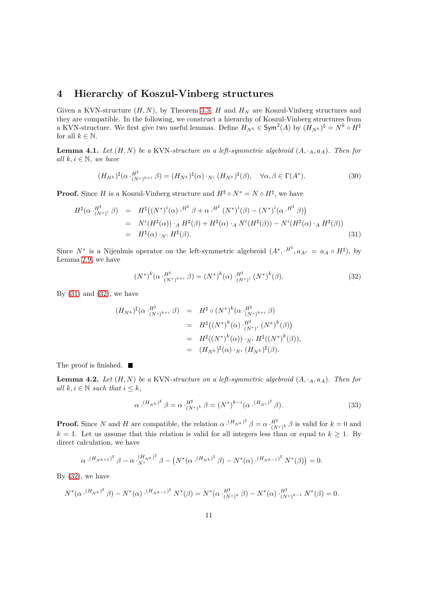## <span id="page-10-0"></span>**4 Hierarchy of Koszul-Vinberg structures**

Given a KVN-structure (*H, N*), by Theorem [3.3,](#page-7-3) *H* and *H<sup>N</sup>* are Koszul-Vinberg structures and they are compatible. In the following, we construct a hierarchy of Koszul-Vinberg structures from a KVN-structure. We first give two useful lemmas. Define  $H_{N^k} \in \text{Sym}^2(A)$  by  $(H_{N^k})^{\sharp} = N^k \circ H^{\sharp}$ for all  $k \in \mathbb{N}$ .

**Lemma 4.1.** *Let*  $(H, N)$  *be a* KVN-structure on a left-symmetric algebroid  $(A, \cdot_A, a_A)$ *. Then for all*  $k, i \in \mathbb{N}$ *, we have* 

<span id="page-10-4"></span>
$$
(H_{N^k})^{\sharp}(\alpha \cdot H^{\sharp}_{(N^*)^{k+i}} \beta) = (H_{N^k})^{\sharp}(\alpha) \cdot_{N^i} (H_{N^k})^{\sharp}(\beta), \quad \forall \alpha, \beta \in \Gamma(A^*).
$$
\n(30)

**Proof.** Since *H* is a Koszul-Vinberg structure and  $H^{\sharp} \circ N^* = N \circ H^{\sharp}$ , we have

<span id="page-10-1"></span>
$$
H^{\sharp}(\alpha \cdot {}_{(N^*)^i}^{H^{\sharp}} \beta) = H^{\sharp}((N^*)^i(\alpha) \cdot {}^{H^{\sharp}} \beta + \alpha \cdot {}^{H^{\sharp}} (N^*)^i(\beta) - (N^*)^i(\alpha \cdot {}^{H^{\sharp}} \beta))
$$
  
\n
$$
= N^i(H^{\sharp}(\alpha)) \cdot {}_A H^{\sharp}(\beta) + H^{\sharp}(\alpha) \cdot {}_A N^i(H^{\sharp}(\beta)) - N^i(H^{\sharp}(\alpha) \cdot {}_A H^{\sharp}(\beta))
$$
  
\n
$$
= H^{\sharp}(\alpha) \cdot {}_{N^i} H^{\sharp}(\beta).
$$
\n(31)

Since  $N^*$  is a Nijenhuis operator on the left-symmetric algebroid  $(A^*, \cdot^{H^{\sharp}}, a_{A^*} = a_A \circ H^{\sharp})$ , by Lemma [2.9,](#page-4-1) we have

<span id="page-10-2"></span>
$$
(N^*)^k (\alpha \cdot H^{\sharp}_{(N^*)^{k+i}} \beta) = (N^*)^k (\alpha) \cdot H^{\sharp}_{(N^*)^i} (N^*)^k (\beta).
$$
 (32)

By  $(31)$  and  $(32)$ , we have

$$
(H_{N^k})^{\sharp}(\alpha \cdot_{(N^*)^{k+i}}^{H^{\sharp}} \beta) = H^{\sharp} \circ (N^*)^k(\alpha \cdot_{(N^*)^{k+i}}^{H^{\sharp}} \beta)
$$
  

$$
= H^{\sharp}((N^*)^k(\alpha) \cdot_{(N^*)^i}^{H^{\sharp}} (N^*)^k(\beta))
$$
  

$$
= H^{\sharp}((N^*)^k(\alpha)) \cdot_{N^i} H^{\sharp}((N^*)^k(\beta)),
$$
  

$$
= (H_{N^k})^{\sharp}(\alpha) \cdot_{N^i} (H_{N^k})^{\sharp}(\beta).
$$

The proof is finished.  $\blacksquare$ 

**Lemma 4.2.** *Let*  $(H, N)$  *be a* KVN-structure on a left-symmetric algebroid  $(A, \cdot_A, a_A)$ *. Then for all*  $k, i \in \mathbb{N}$  *such that*  $i \leq k$ *,* 

<span id="page-10-3"></span>
$$
\alpha \cdot ^{(H_N)_*^{\sharp}} \beta = \alpha \cdot ^{H^{\sharp}}_{(N^*)^k} \beta = (N^*)^{k-i} (\alpha \cdot ^{(H_N)_*^{\sharp}} \beta).
$$
\n(33)

**Proof.** Since *N* and *H* are compatible, the relation  $\alpha \cdot (H_{N^k})^{\sharp}$   $\beta = \alpha \cdot \frac{H^{\sharp}}{(N^*)^k}$   $\beta$  is valid for  $k = 0$  and  $k = 1$ . Let us assume that this relation is valid for all integers less than or equal to  $k \ge 1$ . By direct calculation, we have

$$
\alpha \cdot^{(H_{N^{k+1}})^{\sharp}} \beta - \alpha \cdot^{(H_{N^{k}})^{\sharp}}_{N^{*}} \beta - (N^{*}(\alpha \cdot^{(H_{N^{k}})^{\sharp}} \beta) - N^{*}(\alpha) \cdot^{(H_{N^{k-1}})^{\sharp}} N^{*}(\beta)) = 0.
$$

By  $(32)$ , we have

$$
N^*(\alpha \cdot ^{(H_{N^k})^{\sharp}} \beta) - N^*(\alpha) \cdot ^{(H_{N^{k-1}})^{\sharp}} N^*(\beta) = N^*(\alpha \cdot ^{H^{\sharp}}_{(N^*)^k} \beta) - N^*(\alpha) \cdot ^{H^{\sharp}}_{(N^*)^{k-1}} N^*(\beta) = 0.
$$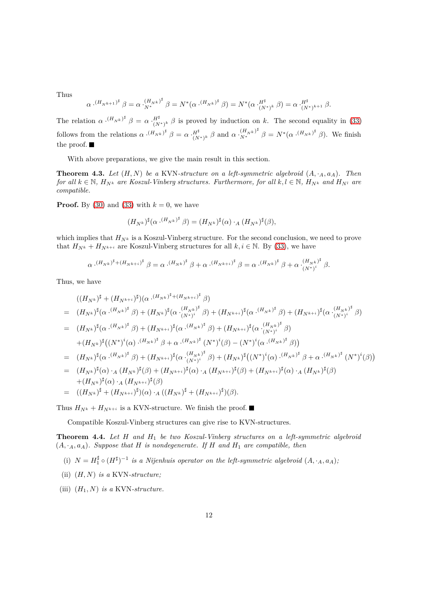Thus

$$
\alpha \cdot^{(H_{N^{k+1}})^{\sharp}} \beta = \alpha \cdot^{(H_{N^k})^{\sharp}}_{N^*} \beta = N^*(\alpha \cdot^{(H_{N^k})^{\sharp}} \beta) = N^*(\alpha \cdot^{H^{\sharp}}_{(N^*)^k} \beta) = \alpha \cdot^{H^{\sharp}}_{(N^*)^{k+1}} \beta.
$$

The relation  $\alpha \cdot (H_{N^k})^{\sharp}$   $\beta = \alpha \cdot H^{\sharp}_{(N^*)^k}$   $\beta$  is proved by induction on *k*. The second equality in [\(33\)](#page-10-3) follows from the relations  $\alpha \cdot ^{(H_{N^k})^{\sharp}} \beta = \alpha \cdot ^{H^{\sharp}}_{(N^*)^k} \beta$  and  $\alpha \cdot ^{(H_{N^k})^{\sharp}}_{N^*} \beta = N^*(\alpha \cdot ^{(H_{N^k})^{\sharp}} \beta)$ . We finish the proof.  $\blacksquare$ 

With above preparations, we give the main result in this section.

<span id="page-11-1"></span>**Theorem 4.3.** *Let* (*H, N*) *be a* KVN*-structure on a left-symmetric algebroid* (*A,* ·*A, aA*)*. Then for all*  $k \in \mathbb{N}$ ,  $H_{N^k}$  are Koszul-Vinberg structures. Furthermore, for all  $k, l \in \mathbb{N}$ ,  $H_{N^k}$  and  $H_{N^l}$  are *compatible.*

**Proof.** By [\(30\)](#page-10-4) and [\(33\)](#page-10-3) with  $k = 0$ , we have

$$
(H_{N^k})^{\sharp} (\alpha \cdot ^{(H_{N^k})^{\sharp}} \beta ) = (H_{N^k})^{\sharp} (\alpha) \cdot_A (H_{N^k})^{\sharp} (\beta),
$$

which implies that  $H_{N^k}$  is a Koszul-Vinberg structure. For the second conclusion, we need to prove that  $H_{N^k} + H_{N^{k+i}}$  are Koszul-Vinberg structures for all  $k, i \in \mathbb{N}$ . By [\(33\)](#page-10-3), we have

$$
\alpha \cdot (H_{N^k})^{\sharp} + (H_{N^{k+i}})^{\sharp} \beta = \alpha \cdot (H_{N^k})^{\sharp} \beta + \alpha \cdot (H_{N^{k+i}})^{\sharp} \beta = \alpha \cdot (H_{N^k})^{\sharp} \beta + \alpha \cdot (H_{N^k})^{\sharp} \beta.
$$

Thus, we have

$$
((H_{N^{k}})^{\sharp} + (H_{N^{k+i}})^{\sharp})(\alpha \cdot (H_{N^{k}})^{\sharp} + (H_{N^{k+i}})^{\sharp}\beta)
$$
\n
$$
= (H_{N^{k}})^{\sharp}(\alpha \cdot (H_{N^{k}})^{\sharp}\beta) + (H_{N^{k+i}})^{\sharp}(\alpha \cdot (H_{N^{k}})^{\sharp}\beta) + (H_{N^{k+i}})^{\sharp}(\alpha \cdot (H_{N^{k}})^{\sharp}\beta) + (H_{N^{k+i}})^{\sharp}(\alpha \cdot (H_{N^{k}})^{\sharp}\beta)
$$
\n
$$
= (H_{N^{k}})^{\sharp}(\alpha \cdot (H_{N^{k}})^{\sharp}\beta) + (H_{N^{k+i}})^{\sharp}(\alpha \cdot (H_{N^{k}})^{\sharp}\beta) + (H_{N^{k+i}})^{\sharp}(\alpha \cdot (H_{N^{k}})^{\sharp}\beta)
$$
\n
$$
+ (H_{N^{k}})^{\sharp}((N^{*})^{i}(\alpha) \cdot (H_{N^{k}})^{\sharp}\beta + \alpha \cdot (H_{N^{k}})^{\sharp}(N^{*})^{i}(\beta) - (N^{*})^{i}(\alpha \cdot (H_{N^{k}})^{\sharp}\beta))
$$
\n
$$
= (H_{N^{k}})^{\sharp}(\alpha \cdot (H_{N^{k}})^{\sharp}\beta) + (H_{N^{k+i}})^{\sharp}(\alpha \cdot (H_{N^{k}})^{\sharp}\beta) + (H_{N^{k}})^{\sharp}((N^{*})^{i}(\alpha) \cdot (H_{N^{k}})^{\sharp}\beta + \alpha \cdot (H_{N^{k}})^{\sharp}(N^{*})^{i}(\beta))
$$
\n
$$
= (H_{N^{k}})^{\sharp}(\alpha) \cdot_{A} (H_{N^{k}})^{\sharp}(\beta) + (H_{N^{k+i}})^{\sharp}(\alpha) \cdot_{A} (H_{N^{k+i}})^{\sharp}(\beta) + (H_{N^{k+i}})^{\sharp}(\alpha) \cdot_{A} (H_{N^{k}})^{\sharp}(\beta)
$$
\n
$$
+ (H_{N^{k}})^{\sharp}(\alpha) \cdot_{A} (H_{N^{k+i}})^{\sharp}(\beta)
$$
\n
$$
= ((H_{N^{k}})^{\sharp} + (H_{N^{k+i}})^{\sharp})(\alpha) \cdot_{A} ((H_{N^{k}})^{\sharp} + (H_{N^{k+i}})^{\sharp})(\beta).
$$

Thus  $H_{N^k} + H_{N^{k+i}}$  is a KVN-structure. We finish the proof.

Compatible Koszul-Vinberg structures can give rise to KVN-structures.

<span id="page-11-0"></span>**Theorem 4.4.** *Let H and H*<sup>1</sup> *be two Koszul-Vinberg structures on a left-symmetric algebroid*  $(A, \cdot_A, a_A)$ *. Suppose that H is nondegenerate. If H and H*<sub>1</sub> *are compatible, then* 

- (i)  $N = H_1^{\sharp} \circ (H^{\sharp})^{-1}$  is a Nijenhuis operator on the left-symmetric algebroid  $(A, \cdot_A, a_A)$ ;
- (ii) (*H, N*) *is a* KVN*-structure;*
- (iii)  $(H_1, N)$  *is a* KVN-structure.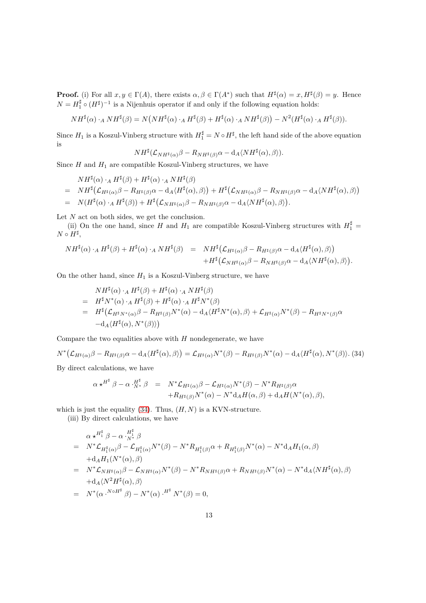**Proof.** (i) For all  $x, y \in \Gamma(A)$ , there exists  $\alpha, \beta \in \Gamma(A^*)$  such that  $H^{\sharp}(\alpha) = x, H^{\sharp}(\beta) = y$ . Hence  $N = H_1^{\sharp} \circ (H^{\sharp})^{-1}$  is a Nijenhuis operator if and only if the following equation holds:

$$
NH^{\sharp}(\alpha)\cdot_A NH^{\sharp}(\beta)=N\big(NH^{\sharp}(\alpha)\cdot_A H^{\sharp}(\beta)+H^{\sharp}(\alpha)\cdot_A NH^{\sharp}(\beta)\big)-N^2(H^{\sharp}(\alpha)\cdot_A H^{\sharp}(\beta)).
$$

Since  $H_1$  is a Koszul-Vinberg structure with  $H_1^{\sharp} = N \circ H^{\sharp}$ , the left hand side of the above equation is

$$
NH^{\sharp}(\mathcal{L}_{NH^{\sharp}(\alpha)}\beta - R_{NH^{\sharp}(\beta)}\alpha - d_{A}\langle NH^{\sharp}(\alpha), \beta \rangle).
$$

Since  $H$  and  $H_1$  are compatible Koszul-Vinberg structures, we have

$$
NH^{\sharp}(\alpha) \cdot_A H^{\sharp}(\beta) + H^{\sharp}(\alpha) \cdot_A NH^{\sharp}(\beta)
$$
  
=  $N H^{\sharp}(\mathcal{L}_{H^{\sharp}(\alpha)}\beta - R_{H^{\sharp}(\beta)}\alpha - d_A \langle H^{\sharp}(\alpha), \beta \rangle) + H^{\sharp}(\mathcal{L}_{NH^{\sharp}(\alpha)}\beta - R_{NH^{\sharp}(\beta)}\alpha - d_A \langle NH^{\sharp}(\alpha), \beta \rangle)$   
=  $N(H^{\sharp}(\alpha) \cdot_A H^{\sharp}(\beta)) + H^{\sharp}(\mathcal{L}_{NH^{\sharp}(\alpha)}\beta - R_{NH^{\sharp}(\beta)}\alpha - d_A \langle NH^{\sharp}(\alpha), \beta \rangle).$ 

Let *N* act on both sides, we get the conclusion.

(ii) On the one hand, since *H* and  $H_1$  are compatible Koszul-Vinberg structures with  $H_1^{\sharp}$  =  $N \circ H^\sharp,$ 

$$
NH^{\sharp}(\alpha) \cdot_A H^{\sharp}(\beta) + H^{\sharp}(\alpha) \cdot_A NH^{\sharp}(\beta) = NH^{\sharp}(\mathcal{L}_{H^{\sharp}(\alpha)}\beta - R_{H^{\sharp}(\beta)}\alpha - d_A \langle H^{\sharp}(\alpha), \beta \rangle) + H^{\sharp}(\mathcal{L}_{NH^{\sharp}(\alpha)}\beta - R_{NH^{\sharp}(\beta)}\alpha - d_A \langle NH^{\sharp}(\alpha), \beta \rangle).
$$

On the other hand, since  $H_1$  is a Koszul-Vinberg structure, we have

$$
NH^{\sharp}(\alpha) \cdot_A H^{\sharp}(\beta) + H^{\sharp}(\alpha) \cdot_A NH^{\sharp}(\beta)
$$
  
=  $H^{\sharp}N^*(\alpha) \cdot_A H^{\sharp}(\beta) + H^{\sharp}(\alpha) \cdot_A H^{\sharp}N^*(\beta)$   
=  $H^{\sharp}(\mathcal{L}_{H^{\sharp}N^*(\alpha)}\beta - R_{H^{\sharp}(\beta)}N^*(\alpha) - d_A \langle H^{\sharp}N^*(\alpha), \beta \rangle + \mathcal{L}_{H^{\sharp}(\alpha)}N^*(\beta) - R_{H^{\sharp}N^*(\beta)}\alpha$   
 $-d_A \langle H^{\sharp}(\alpha), N^*(\beta) \rangle$ 

Compare the two equalities above with *H* nondegenerate, we have

<span id="page-12-0"></span>
$$
N^*\left(\mathcal{L}_{H^\sharp(\alpha)}\beta - R_{H^\sharp(\beta)}\alpha - d_A \langle H^\sharp(\alpha), \beta \rangle\right) = \mathcal{L}_{H^\sharp(\alpha)}N^*(\beta) - R_{H^\sharp(\beta)}N^*(\alpha) - d_A \langle H^\sharp(\alpha), N^*(\beta) \rangle. \tag{34}
$$

By direct calculations, we have

$$
\alpha \star^{H^{\sharp}} \beta - \alpha \cdot N^{\sharp} \beta = N^* \mathcal{L}_{H^{\sharp}(\alpha)} \beta - \mathcal{L}_{H^{\sharp}(\alpha)} N^*(\beta) - N^* R_{H^{\sharp}(\beta)} \alpha + R_{H^{\sharp}(\beta)} N^*(\alpha) - N^* d_A H(\alpha, \beta) + d_A H(N^*(\alpha), \beta),
$$

which is just the equality  $(34)$ . Thus,  $(H, N)$  is a KVN-structure.

(iii) By direct calculations, we have

$$
\alpha \star^{H_1^{\sharp}} \beta - \alpha \cdot^{H_1^{\sharp}}_{N^*} \beta
$$
\n
$$
= N^* \mathcal{L}_{H_1^{\sharp}(\alpha)} \beta - \mathcal{L}_{H_1^{\sharp}(\alpha)} N^*(\beta) - N^* R_{H_1^{\sharp}(\beta)} \alpha + R_{H_1^{\sharp}(\beta)} N^*(\alpha) - N^* d_A H_1(\alpha, \beta)
$$
\n
$$
+ d_A H_1(N^*(\alpha), \beta)
$$
\n
$$
= N^* \mathcal{L}_{NH^{\sharp}(\alpha)} \beta - \mathcal{L}_{NH^{\sharp}(\alpha)} N^*(\beta) - N^* R_{NH^{\sharp}(\beta)} \alpha + R_{NH^{\sharp}(\beta)} N^*(\alpha) - N^* d_A \langle NH^{\sharp}(\alpha), \beta \rangle
$$
\n
$$
+ d_A \langle N^2 H^{\sharp}(\alpha), \beta \rangle
$$
\n
$$
= N^* (\alpha \cdot^{N \circ H^{\sharp}} \beta) - N^*(\alpha) \cdot^{H^{\sharp}} N^*(\beta) = 0,
$$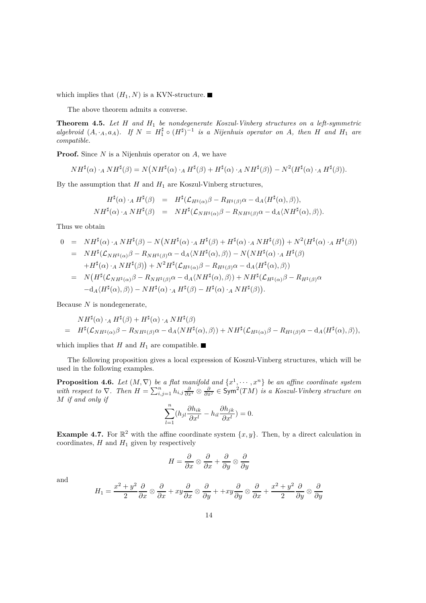which implies that  $(H_1, N)$  is a KVN-structure.

The above theorem admits a converse.

<span id="page-13-0"></span>**Theorem 4.5.** *Let H and H*<sup>1</sup> *be nondegenerate Koszul-Vinberg structures on a left-symmetric algebroid*  $(A, \cdot_A, a_A)$ *. If*  $N = H_1^{\sharp} \circ (H^{\sharp})^{-1}$  *is a Nijenhuis operator on A, then H and H*<sub>1</sub> *are compatible.*

**Proof.** Since *N* is a Nijenhuis operator on *A*, we have

$$
NH^{\sharp}(\alpha)\cdot_A MH^{\sharp}(\beta)=N\big(NH^{\sharp}(\alpha)\cdot_A H^{\sharp}(\beta)+H^{\sharp}(\alpha)\cdot_A NH^{\sharp}(\beta)\big)-N^2(H^{\sharp}(\alpha)\cdot_A H^{\sharp}(\beta)).
$$

By the assumption that  $H$  and  $H_1$  are Koszul-Vinberg structures,

$$
H^{\sharp}(\alpha) \cdot_A H^{\sharp}(\beta) = H^{\sharp}(\mathcal{L}_{H^{\sharp}(\alpha)}\beta - R_{H^{\sharp}(\beta)}\alpha - d_A \langle H^{\sharp}(\alpha), \beta \rangle),
$$
  
\n
$$
NH^{\sharp}(\alpha) \cdot_A NH^{\sharp}(\beta) = NH^{\sharp}(\mathcal{L}_{NH^{\sharp}(\alpha)}\beta - R_{NH^{\sharp}(\beta)}\alpha - d_A \langle NH^{\sharp}(\alpha), \beta \rangle).
$$

Thus we obtain

$$
0 = NH^{\sharp}(\alpha) \cdot_A NH^{\sharp}(\beta) - N\left(NH^{\sharp}(\alpha) \cdot_A H^{\sharp}(\beta) + H^{\sharp}(\alpha) \cdot_A NH^{\sharp}(\beta)\right) + N^2(H^{\sharp}(\alpha) \cdot_A H^{\sharp}(\beta))
$$
  
\n
$$
= NH^{\sharp}(\mathcal{L}_{NH^{\sharp}(\alpha)}\beta - R_{NH^{\sharp}(\beta)}\alpha - d_A\langle NH^{\sharp}(\alpha), \beta\rangle) - N\left(NH^{\sharp}(\alpha) \cdot_A H^{\sharp}(\beta)\right)
$$
  
\n
$$
+H^{\sharp}(\alpha) \cdot_A NH^{\sharp}(\beta) + N^2H^{\sharp}(\mathcal{L}_{H^{\sharp}(\alpha)}\beta - R_{H^{\sharp}(\beta)}\alpha - d_A\langle H^{\sharp}(\alpha), \beta\rangle)
$$
  
\n
$$
= N\left(H^{\sharp}(\mathcal{L}_{NH^{\sharp}(\alpha)}\beta - R_{NH^{\sharp}(\beta)}\alpha - d_A\langle NH^{\sharp}(\alpha), \beta\rangle) + NH^{\sharp}(\mathcal{L}_{H^{\sharp}(\alpha)}\beta - R_{H^{\sharp}(\beta)}\alpha - d_A\langle H^{\sharp}(\alpha), \beta\rangle) - NH^{\sharp}(\alpha) \cdot_A H^{\sharp}(\beta) - H^{\sharp}(\alpha) \cdot_A NH^{\sharp}(\beta).
$$

Because *N* is nondegenerate,

$$
NH^{\sharp}(\alpha) \cdot_A H^{\sharp}(\beta) + H^{\sharp}(\alpha) \cdot_A NH^{\sharp}(\beta)
$$
  
=  $H^{\sharp}(\mathcal{L}_{NH^{\sharp}(\alpha)}\beta - R_{NH^{\sharp}(\beta)}\alpha - d_A\langle NH^{\sharp}(\alpha), \beta\rangle) + NH^{\sharp}(\mathcal{L}_{H^{\sharp}(\alpha)}\beta - R_{H^{\sharp}(\beta)}\alpha - d_A\langle H^{\sharp}(\alpha), \beta\rangle),$ 

which implies that *H* and  $H_1$  are compatible.

The following proposition gives a local expression of Koszul-Vinberg structures, which will be used in the following examples.

**Proposition 4.6.** Let  $(M, \nabla)$  be a flat manifold and  $\{x^1, \dots, x^n\}$  be an affine coordinate system *with respect to*  $\nabla$ *. Then*  $H = \sum_{i,j=1}^{n} h_{i,j} \frac{\partial}{\partial x^i} \otimes \frac{\partial}{\partial x^j} \in \text{Sym}^2(TM)$  *is a Koszul-Vinberg structure on M if and only if*

$$
\sum_{l=1}^{n} (h_{jl} \frac{\partial h_{ik}}{\partial x^l} - h_{il} \frac{\partial h_{jk}}{\partial x^l}) = 0.
$$

<span id="page-13-1"></span>**Example 4.7.** For  $\mathbb{R}^2$  with the affine coordinate system  $\{x, y\}$ . Then, by a direct calculation in coordinates, *H* and *H*<sup>1</sup> given by respectively

$$
H = \frac{\partial}{\partial x} \otimes \frac{\partial}{\partial x} + \frac{\partial}{\partial y} \otimes \frac{\partial}{\partial y}
$$

and

$$
H_1 = \frac{x^2 + y^2}{2} \frac{\partial}{\partial x} \otimes \frac{\partial}{\partial x} + xy \frac{\partial}{\partial x} \otimes \frac{\partial}{\partial y} + xy \frac{\partial}{\partial y} \otimes \frac{\partial}{\partial x} + \frac{x^2 + y^2}{2} \frac{\partial}{\partial y} \otimes \frac{\partial}{\partial y}
$$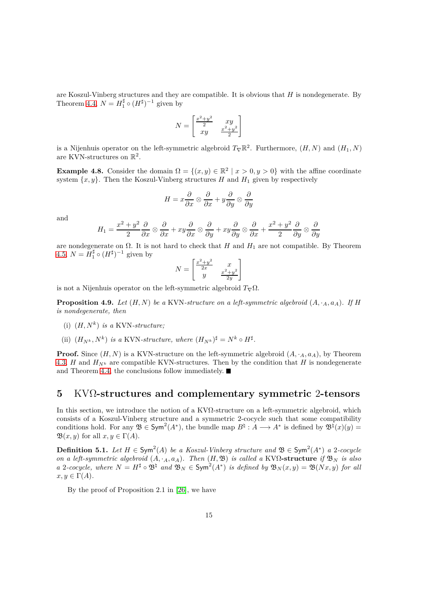are Koszul-Vinberg structures and they are compatible. It is obvious that *H* is nondegenerate. By Theorem [4.4,](#page-11-0)  $N = H_1^{\sharp} \circ (H^{\sharp})^{-1}$  given by

$$
N = \begin{bmatrix} \frac{x^2 + y^2}{2} & xy \\ xy & \frac{x^2 + y^2}{2} \end{bmatrix}
$$

is a Nijenhuis operator on the left-symmetric algebroid  $T_{\nabla} \mathbb{R}^2$ . Furthermore,  $(H, N)$  and  $(H_1, N)$ are KVN-structures on  $\mathbb{R}^2$ .

**Example 4.8.** Consider the domain  $\Omega = \{(x, y) \in \mathbb{R}^2 \mid x > 0, y > 0\}$  with the affine coordinate system  $\{x, y\}$ . Then the Koszul-Vinberg structures *H* and  $H_1$  given by respectively

$$
H = x\frac{\partial}{\partial x}\otimes\frac{\partial}{\partial x} + y\frac{\partial}{\partial y}\otimes\frac{\partial}{\partial y}
$$

and

$$
H_1 = \frac{x^2 + y^2}{2} \frac{\partial}{\partial x} \otimes \frac{\partial}{\partial x} + xy \frac{\partial}{\partial x} \otimes \frac{\partial}{\partial y} + xy \frac{\partial}{\partial y} \otimes \frac{\partial}{\partial x} + \frac{x^2 + y^2}{2} \frac{\partial}{\partial y} \otimes \frac{\partial}{\partial y}
$$

are nondegenerate on  $\Omega$ . It is not hard to check that *H* and  $H_1$  are not compatible. By Theorem [4.5,](#page-13-0)  $N = H_1^{\sharp} \circ (H^{\sharp})^{-1}$  given by

$$
N = \begin{bmatrix} \frac{x^2 + y^2}{2x} & x \\ y & \frac{x^2 + y^2}{2y} \end{bmatrix}
$$

is not a Nijenhuis operator on the left-symmetric algebroid  $T_{\nabla} \Omega$ .

<span id="page-14-1"></span>**Proposition 4.9.** *Let*  $(H, N)$  *be a* KVN-*structure on a left-symmetric algebroid*  $(A, \cdot_A, a_A)$ *. If H is nondegenerate, then*

- (i)  $(H, N^k)$  *is a* KVN-structure;
- (ii)  $(H_{N^k}, N^k)$  *is a* KVN-structure, where  $(H_{N^k})^{\sharp} = N^k \circ H^{\sharp}$ .

**Proof.** Since  $(H, N)$  is a KVN-structure on the left-symmetric algebroid  $(A, \cdot_A, a_A)$ , by Theorem [4.3,](#page-11-1) *H* and  $H_{N^k}$  are compatible KVN-structures. Then by the condition that *H* is nondegenerate and Theorem [4.4,](#page-11-0) the conclusions follow immediately.  $\blacksquare$ 

## <span id="page-14-0"></span>**5** KVΩ**-structures and complementary symmetric** 2**-tensors**

In this section, we introduce the notion of a KV $\Omega$ -structure on a left-symmetric algebroid, which consists of a Koszul-Vinberg structure and a symmetric 2-cocycle such that some compatibility conditions hold. For any  $\mathfrak{B} \in \text{Sym}^2(A^*)$ , the bundle map  $B^{\natural}: A \longrightarrow A^*$  is defined by  $\mathfrak{B}^{\natural}(x)(y) =$  $\mathfrak{B}(x, y)$  for all  $x, y \in \Gamma(A)$ .

**Definition 5.1.** Let  $H \in Sym^2(A)$  be a Koszul-Vinberg structure and  $\mathfrak{B} \in Sym^2(A^*)$  a 2*-cocycle on a left-symmetric algebroid*  $(A, \cdot_A, a_A)$ *. Then*  $(H, \mathfrak{B})$  *is called a* KVΩ**-structure** *if*  $\mathfrak{B}_N$  *is also a* 2*-cocycle, where*  $N = H^{\sharp} \circ \mathfrak{B}^{\sharp}$  and  $\mathfrak{B}_N \in \text{Sym}^2(A^*)$  *is defined by*  $\mathfrak{B}_N(x, y) = \mathfrak{B}(Nx, y)$  *for all*  $x, y \in \Gamma(A)$ .

By the proof of Proposition 2.1 in [26], we have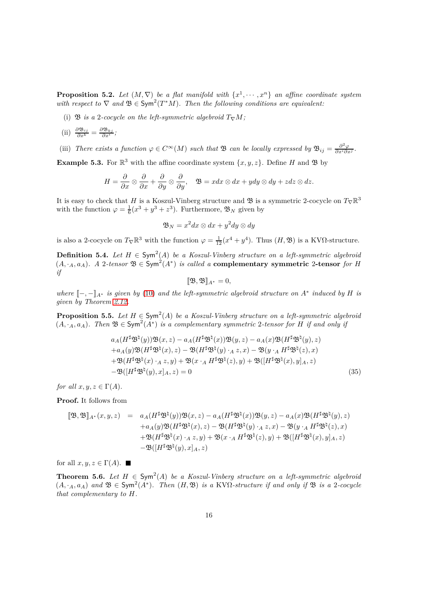**Proposition 5.2.** Let  $(M, \nabla)$  be a flat manifold with  $\{x^1, \dots, x^n\}$  an affine coordinate system with respect to  $\nabla$  and  $\mathfrak{B} \in \text{Sym}^2(T^*M)$ . Then the following conditions are equivalent:

(i)  $\mathfrak{B}$  *is a* 2*-cocycle on the left-symmetric algebroid*  $T_{\nabla}M$ ;

(ii) 
$$
\frac{\partial \mathfrak{B}_{ij}}{\partial x^k} = \frac{\partial \mathfrak{B}_{kj}}{\partial x^i};
$$

(iii) *There exists a function*  $\varphi \in C^{\infty}(M)$  *such that* **B** *can be locally expressed by*  $\mathfrak{B}_{ij} = \frac{\partial^2 \varphi}{\partial x^i \partial x^j}$ *.* 

**Example 5.3.** For  $\mathbb{R}^3$  with the affine coordinate system  $\{x, y, z\}$ . Define *H* and **B** by

$$
H = \frac{\partial}{\partial x} \otimes \frac{\partial}{\partial x} + \frac{\partial}{\partial y} \otimes \frac{\partial}{\partial y}, \quad \mathfrak{B} = x dx \otimes dx + y dy \otimes dy + z dz \otimes dz.
$$

It is easy to check that *H* is a Koszul-Vinberg structure and **B** is a symmetric 2-cocycle on  $T_{\nabla} \mathbb{R}^3$ with the function  $\varphi = \frac{1}{6}(x^3 + y^3 + z^3)$ . Furthermore,  $\mathfrak{B}_N$  given by

$$
\mathfrak{B}_N=x^2dx\otimes dx+y^2dy\otimes dy
$$

is also a 2-cocycle on  $T_{\nabla} \mathbb{R}^3$  with the function  $\varphi = \frac{1}{12} (x^4 + y^4)$ . Thus  $(H, \mathfrak{B})$  is a KV $\Omega$ -structure.

**Definition 5.4.** Let  $H \in Sym^2(A)$  be a Koszul-Vinberg structure on a left-symmetric algebroid  $(A, \cdot_A, a_A)$ . A 2-tensor  $\mathfrak{B} \in \text{Sym}^2(A^*)$  *is called a* **complementary symmetric** 2-tensor for *H if*

$$
[\![\mathfrak{B},\mathfrak{B}]\!]_{A^*}=0,
$$

*where*  $[-,-]_{A^*}$  *is given by* [\(10\)](#page-5-1) *and the left-symmetric algebroid structure on*  $A^*$  *induced by*  $H$  *is given by Theorem [2.12.](#page-5-3)*

**Proposition 5.5.** Let  $H \in Sym^2(A)$  be a Koszul-Vinberg structure on a left-symmetric algebroid  $(A, \cdot_A, a_A)$ . Then  $\mathfrak{B} \in \text{Sym}^2(A^*)$  is a complementary symmetric 2-tensor for H if and only if

<span id="page-15-0"></span>
$$
a_A(H^{\sharp}\mathfrak{B}^{\sharp}(y))\mathfrak{B}(x,z) - a_A(H^{\sharp}\mathfrak{B}^{\sharp}(x))\mathfrak{B}(y,z) - a_A(x)\mathfrak{B}(H^{\sharp}\mathfrak{B}^{\sharp}(y),z) + a_A(y)\mathfrak{B}(H^{\sharp}\mathfrak{B}^{\sharp}(x),z) - \mathfrak{B}(H^{\sharp}\mathfrak{B}^{\sharp}(y) \cdot_A z,x) - \mathfrak{B}(y \cdot_A H^{\sharp}\mathfrak{B}^{\sharp}(z),x) + \mathfrak{B}(H^{\sharp}\mathfrak{B}^{\sharp}(x) \cdot_A z,y) + \mathfrak{B}(x \cdot_A H^{\sharp}\mathfrak{B}^{\sharp}(z),y) + \mathfrak{B}([H^{\sharp}\mathfrak{B}^{\sharp}(x),y]_A,z) - \mathfrak{B}([H^{\sharp}\mathfrak{B}^{\sharp}(y),x]_A,z) = 0
$$
\n(35)

*for all*  $x, y, z \in \Gamma(A)$ *.* 

**Proof.** It follows from

$$
\begin{array}{rcl} [\![\mathfrak{B},\mathfrak{B}]\!]_{A^*}(x,y,z) & = & a_A(H^{\sharp}\mathfrak{B}^{\natural}(y))\mathfrak{B}(x,z) - a_A(H^{\sharp}\mathfrak{B}^{\natural}(x))\mathfrak{B}(y,z) - a_A(x)\mathfrak{B}(H^{\sharp}\mathfrak{B}^{\natural}(y),z) \\ & & + a_A(y)\mathfrak{B}(H^{\sharp}\mathfrak{B}^{\natural}(x),z) - \mathfrak{B}(H^{\sharp}\mathfrak{B}^{\natural}(y)\cdot_A z,x) - \mathfrak{B}(y\cdot_A H^{\sharp}\mathfrak{B}^{\natural}(z),x) \\ & & + \mathfrak{B}(H^{\sharp}\mathfrak{B}^{\natural}(x)\cdot_A z,y) + \mathfrak{B}(x\cdot_A H^{\sharp}\mathfrak{B}^{\natural}(z),y) + \mathfrak{B}([H^{\sharp}\mathfrak{B}^{\natural}(x),y]_A,z) \\ & & - \mathfrak{B}([H^{\sharp}\mathfrak{B}^{\natural}(y),x]_A,z) \end{array}
$$

for all  $x, y, z \in \Gamma(A)$ .

<span id="page-15-1"></span>**Theorem 5.6.** Let  $H \in Sym^2(A)$  be a Koszul-Vinberg structure on a left-symmetric algebroid  $(A, \cdot_A, a_A)$  and  $\mathfrak{B} \in \text{Sym}^2(A^*)$ . Then  $(H, \mathfrak{B})$  *is a* KV $\Omega$ -structure if and only if  $\mathfrak{B}$  *is a* 2*-cocycle that complementary to H.*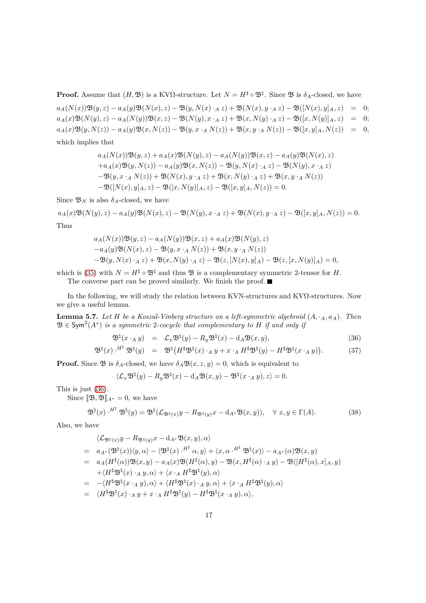**Proof.** Assume that  $(H, \mathfrak{B})$  is a KV $\Omega$ -structure. Let  $N = H^{\sharp} \circ \mathfrak{B}^{\sharp}$ . Since  $\mathfrak{B}$  is  $\delta_A$ -closed, we have

$$
a_A(N(x))\mathfrak{B}(y,z) - a_A(y)\mathfrak{B}(N(x),z) - \mathfrak{B}(y,N(x) \cdot_A z) + \mathfrak{B}(N(x),y \cdot_A z) - \mathfrak{B}([N(x),y]_A,z) = 0;
$$
  
\n
$$
a_A(x)\mathfrak{B}(N(y),z) - a_A(N(y))\mathfrak{B}(x,z) - \mathfrak{B}(N(y),x \cdot_A z) + \mathfrak{B}(x,N(y) \cdot_A z) - \mathfrak{B}([x,N(y)]_A,z) = 0;
$$
  
\n
$$
a_A(x)\mathfrak{B}(y,N(z)) - a_A(y)\mathfrak{B}(x,N(z)) - \mathfrak{B}(y,x \cdot_A N(z)) + \mathfrak{B}(x,y \cdot_A N(z)) - \mathfrak{B}([x,y]_A, N(z)) = 0,
$$
  
\nwhich implies that

which implies that

$$
a_A(N(x))\mathfrak{B}(y,z) + a_A(x)\mathfrak{B}(N(y),z) - a_A(N(y))\mathfrak{B}(x,z) - a_A(y)\mathfrak{B}(N(x),z)
$$
  
+
$$
a_A(x)\mathfrak{B}(y,N(z)) - a_A(y)\mathfrak{B}(x,N(z)) - \mathfrak{B}(y,N(x)\cdot_A z) - \mathfrak{B}(N(y),x\cdot_A z)
$$
  
-
$$
\mathfrak{B}(y,x\cdot_A N(z)) + \mathfrak{B}(N(x),y\cdot_A z) + \mathfrak{B}(x,N(y)\cdot_A z) + \mathfrak{B}(x,y\cdot_A N(z))
$$
  
-
$$
\mathfrak{B}([N(x),y]_A,z) - \mathfrak{B}([x,N(y)]_A,z) - \mathfrak{B}([x,y]_A,N(z)) = 0.
$$

Since  $\mathfrak{B}_N$  is also  $\delta_A$ -closed, we have

$$
a_A(x)\mathfrak{B}(N(y),z) - a_A(y)\mathfrak{B}(N(x),z) - \mathfrak{B}(N(y),x \cdot_A z) + \mathfrak{B}(N(x),y \cdot_A z) - \mathfrak{B}([x,y]_A,N(z)) = 0.
$$
  
Thus

$$
a_A(N(x))\mathfrak{B}(y,z) - a_A(N(y))\mathfrak{B}(x,z) + a_A(x)\mathfrak{B}(N(y),z)
$$
  
\n
$$
-a_A(y)\mathfrak{B}(N(x),z) - \mathfrak{B}(y,x \cdot_A N(z)) + \mathfrak{B}(x,y \cdot_A N(z))
$$
  
\n
$$
-\mathfrak{B}(y,N(x) \cdot_A z) + \mathfrak{B}(x,N(y) \cdot_A z) - \mathfrak{B}(z,[N(x),y]_A) - \mathfrak{B}(z,[x,N(y)]_A) = 0,
$$

which is [\(35\)](#page-15-0) with  $N = H^{\sharp} \circ \mathfrak{B}^{\sharp}$  and thus  $\mathfrak{B}$  is a complementary symmetric 2-tensor for *H*.

The converse part can be proved similarly. We finish the proof.  $\blacksquare$ 

In the following, we will study the relation between KVN-structures and KVΩ-structures. Now we give a useful lemma.

**Lemma 5.7.** *Let H be a Koszul-Vinberg structure on a left-symmetric algebroid* (*A,* ·*A, aA*)*. Then*  $\mathfrak{B} \in \mathsf{Sym}^2(A^*)$  *is a symmetric* 2*-cocycle that complementary to H if and only if* 

<span id="page-16-0"></span>
$$
\mathfrak{B}^{\natural}(x \cdot_A y) = \mathcal{L}_x \mathfrak{B}^{\natural}(y) - R_y \mathfrak{B}^{\natural}(x) - d_A \mathfrak{B}(x, y), \tag{36}
$$

$$
\mathfrak{B}^{\natural}(x) \cdot^{H^{\sharp}} \mathfrak{B}^{\natural}(y) = \mathfrak{B}^{\natural}(H^{\sharp}\mathfrak{B}^{\natural}(x) \cdot_A y + x \cdot_A H^{\sharp}\mathfrak{B}^{\natural}(y) - H^{\sharp}\mathfrak{B}^{\natural}(x \cdot_A y)). \tag{37}
$$

**Proof.** Since  $\mathfrak{B}$  is  $\delta_A$ -closed, we have  $\delta_A \mathfrak{B}(x, z, y) = 0$ , which is equivalent to

$$
\langle \mathcal{L}_x \mathfrak{B}^\natural(y) - R_y \mathfrak{B}^\natural(x) - d_A \mathfrak{B}(x, y) - \mathfrak{B}^\natural(x \cdot_A y), z \rangle = 0.
$$

This is just [\(36\)](#page-16-0).

Since  $[\mathfrak{B}, \mathfrak{B}]_{A^*} = 0$ , we have

<span id="page-16-1"></span>
$$
\mathfrak{B}^{\natural}(x) \cdot^{H^{\sharp}} \mathfrak{B}^{\natural}(y) = \mathfrak{B}^{\natural}(\mathcal{L}_{\mathfrak{B}^{\natural}(x)}y - R_{\mathfrak{B}^{\natural}(y)}x - d_{A^*}\mathfrak{B}(x,y)), \quad \forall \ x, y \in \Gamma(A). \tag{38}
$$

Also, we have

$$
\langle \mathcal{L}_{\mathfrak{B}^{\natural}(x)} y - R_{\mathfrak{B}^{\natural}(y)} x - d_{A^*} \mathfrak{B}(x, y), \alpha \rangle
$$
\n
$$
= a_{A^*} (\mathfrak{B}^{\natural}(x)) \langle y, \alpha \rangle - \langle \mathfrak{B}^{\natural}(x) \cdot^{H^{\sharp}} \alpha, y \rangle + \langle x, \alpha \cdot^{H^{\sharp}} \mathfrak{B}^{\natural}(x) \rangle - a_{A^*}(\alpha) \mathfrak{B}(x, y)
$$
\n
$$
= a_{A} (H^{\sharp}(\alpha)) \mathfrak{B}(x, y) - a_{A}(x) \mathfrak{B}(H^{\sharp}(\alpha), y) - \mathfrak{B}(x, H^{\sharp}(\alpha) \cdot_{A} y) - \mathfrak{B}([H^{\sharp}(\alpha), x]_{A}, y)
$$
\n
$$
+ \langle H^{\sharp} \mathfrak{B}^{\natural}(x) \cdot_{A} y, \alpha \rangle + \langle x \cdot_{A} H^{\sharp} \mathfrak{B}^{\natural}(y), \alpha \rangle
$$
\n
$$
= - \langle H^{\sharp} \mathfrak{B}^{\natural}(x \cdot_{A} y), \alpha \rangle + \langle H^{\sharp} \mathfrak{B}^{\natural}(x) \cdot_{A} y, \alpha \rangle + \langle x \cdot_{A} H^{\sharp} \mathfrak{B}^{\natural}(y), \alpha \rangle
$$
\n
$$
= \langle H^{\sharp} \mathfrak{B}^{\natural}(x) \cdot_{A} y + x \cdot_{A} H^{\sharp} \mathfrak{B}^{\natural}(y) - H^{\sharp} \mathfrak{B}^{\natural}(x \cdot_{A} y), \alpha \rangle,
$$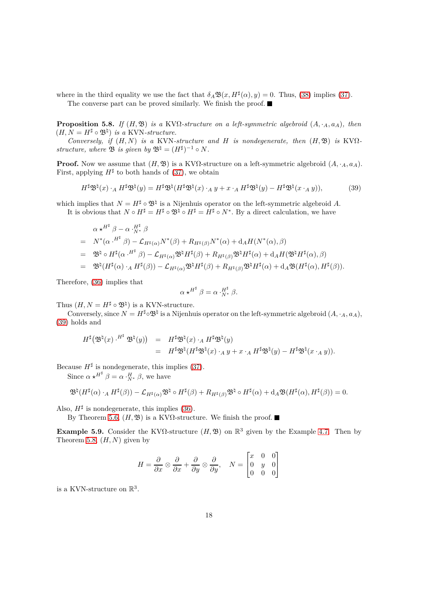where in the third equality we use the fact that  $\delta_A \mathfrak{B}(x, H^{\sharp}(\alpha), y) = 0$ . Thus, [\(38\)](#page-16-1) implies [\(37\)](#page-16-0). The converse part can be proved similarly. We finish the proof.  $\blacksquare$ 

<span id="page-17-1"></span>**Proposition 5.8.** *If*  $(H, \mathfrak{B})$  *is a* KV $\Omega$ -structure on a left-symmetric algebroid  $(A, \cdot_A, a_A)$ *, then*  $(H, N = H^{\sharp} \circ \mathfrak{B}^{\sharp})$  *is a* KVN-structure.

*Conversely, if*  $(H, N)$  *is a* KVN-structure and  $H$  *is nondegenerate, then*  $(H, \mathfrak{B})$  *is* KV $\Omega$ *structure, where*  $\mathfrak{B}$  *is given by*  $\mathfrak{B}^{\natural} = (H^{\sharp})^{-1} \circ N$ *.* 

**Proof.** Now we assume that  $(H, \mathfrak{B})$  is a KV $\Omega$ -structure on a left-symmetric algebroid  $(A, \cdot_A, a_A)$ . First, applying  $H^{\sharp}$  to both hands of [\(37\)](#page-16-0), we obtain

<span id="page-17-0"></span>
$$
H^{\sharp}\mathfrak{B}^{\natural}(x) \cdot_A H^{\sharp}\mathfrak{B}^{\natural}(y) = H^{\sharp}\mathfrak{B}^{\natural}(H^{\sharp}\mathfrak{B}^{\natural}(x) \cdot_A y + x \cdot_A H^{\sharp}\mathfrak{B}^{\natural}(y) - H^{\sharp}\mathfrak{B}^{\natural}(x \cdot_A y)), \tag{39}
$$

which implies that  $N = H^{\sharp} \circ \mathfrak{B}^{\sharp}$  is a Nijenhuis operator on the left-symmetric algebroid A. It is obvious that  $N \circ H^{\sharp} = H^{\sharp} \circ \mathfrak{B}^{\natural} \circ H^{\sharp} = H^{\sharp} \circ N^*$ . By a direct calculation, we have

$$
\alpha \star^{H^{\sharp}} \beta - \alpha \cdot^{H^{\sharp}}_{N^*} \beta
$$
\n
$$
= N^*(\alpha \cdot^{H^{\sharp}} \beta) - \mathcal{L}_{H^{\sharp}(\alpha)} N^*(\beta) + R_{H^{\sharp}(\beta)} N^*(\alpha) + d_A H(N^*(\alpha), \beta)
$$
\n
$$
= \mathfrak{B}^{\sharp} \circ H^{\sharp}(\alpha \cdot^{H^{\sharp}} \beta) - \mathcal{L}_{H^{\sharp}(\alpha)} \mathfrak{B}^{\sharp} H^{\sharp}(\beta) + R_{H^{\sharp}(\beta)} \mathfrak{B}^{\sharp} H^{\sharp}(\alpha) + d_A H(\mathfrak{B}^{\sharp} H^{\sharp}(\alpha), \beta)
$$
\n
$$
= \mathfrak{B}^{\sharp}(H^{\sharp}(\alpha) \cdot_A H^{\sharp}(\beta)) - \mathcal{L}_{H^{\sharp}(\alpha)} \mathfrak{B}^{\sharp} H^{\sharp}(\beta) + R_{H^{\sharp}(\beta)} \mathfrak{B}^{\sharp} H^{\sharp}(\alpha) + d_A \mathfrak{B}(H^{\sharp}(\alpha), H^{\sharp}(\beta)).
$$

Therefore, [\(36\)](#page-16-0) implies that

$$
\alpha \star^{H^{\sharp}} \beta = \alpha \cdot_{N^*}^{H^{\sharp}} \beta.
$$

Thus  $(H, N = H^{\sharp} \circ \mathfrak{B}^{\natural})$  is a KVN-structure.

Conversely, since  $N = H^{\sharp} \circ \mathfrak{B}^{\sharp}$  is a Nijenhuis operator on the left-symmetric algebroid  $(A, \cdot_A, a_A)$ , [\(39\)](#page-17-0) holds and

$$
H^{\sharp}(\mathfrak{B}^{\natural}(x) \cdot^{H^{\sharp}} \mathfrak{B}^{\natural}(y)) = H^{\sharp}\mathfrak{B}^{\natural}(x) \cdot_A H^{\sharp}\mathfrak{B}^{\natural}(y)
$$
  
= 
$$
H^{\sharp}\mathfrak{B}^{\natural}(H^{\sharp}\mathfrak{B}^{\natural}(x) \cdot_A y + x \cdot_A H^{\sharp}\mathfrak{B}^{\natural}(y) - H^{\sharp}\mathfrak{B}^{\natural}(x \cdot_A y)).
$$

Because  $H^{\sharp}$  is nondegenerate, this implies [\(37\)](#page-16-0).

Since  $\alpha \star^{H^{\sharp}} \beta = \alpha \cdot^H_{N^*} \beta$ , we have

$$
\mathfrak{B}^{\natural}(H^{\sharp}(\alpha)\cdot_A H^{\sharp}(\beta))-\mathcal{L}_{H^{\sharp}(\alpha)}\mathfrak{B}^{\natural}\circ H^{\sharp}(\beta)+R_{H^{\sharp}(\beta)}\mathfrak{B}^{\natural}\circ H^{\sharp}(\alpha)+\mathrm{d}_A\mathfrak{B}(H^{\sharp}(\alpha),H^{\sharp}(\beta))=0.
$$

Also,  $H^{\sharp}$  is nondegenerate, this implies [\(36\)](#page-16-0).

By Theorem [5.6,](#page-15-1)  $(H, \mathfrak{B})$  is a KV $\Omega$ -structure. We finish the proof.  $\blacksquare$ 

**Example 5.9.** Consider the KV $\Omega$ -structure  $(H, \mathfrak{B})$  on  $\mathbb{R}^3$  given by the Example [4.7.](#page-13-1) Then by Theorem [5.8,](#page-17-1) (*H, N*) given by

$$
H = \frac{\partial}{\partial x} \otimes \frac{\partial}{\partial x} + \frac{\partial}{\partial y} \otimes \frac{\partial}{\partial y}, \quad N = \begin{bmatrix} x & 0 & 0 \\ 0 & y & 0 \\ 0 & 0 & 0 \end{bmatrix}
$$

is a KVN-structure on  $\mathbb{R}^3$ .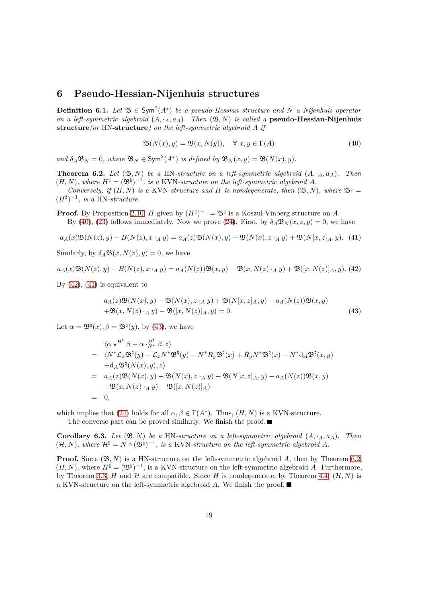### <span id="page-18-0"></span>**6 Pseudo-Hessian-Nijenhuis structures**

**Definition 6.1.** Let  $\mathfrak{B} \in \text{Sym}^2(A^*)$  be a pseudo-Hessian structure and N a Nijenhuis operator *on a left-symmetric algebroid*  $(A, \cdot_A, a_A)$ *. Then*  $(\mathfrak{B}, N)$  *is called a* **pseudo-Hessian-Nijenhuis structure***(or* HN**-structure***) on the left-symmetric algebroid A if*

<span id="page-18-1"></span>
$$
\mathfrak{B}(N(x), y) = \mathfrak{B}(x, N(y)), \quad \forall \ x, y \in \Gamma(A) \tag{40}
$$

 $\partial_A \mathfrak{B}_N = 0$ , where  $\mathfrak{B}_N \in \text{Sym}^2(A^*)$  *is defined by*  $\mathfrak{B}_N(x, y) = \mathfrak{B}(N(x), y)$ *.* 

<span id="page-18-5"></span>**Theorem 6.2.** *Let*  $(\mathfrak{B}, N)$  *be a* HN-structure on a left-symmetric algebroid  $(A, \cdot_A, a_A)$ . Then  $(H, N)$ , where  $H^{\sharp} = (\mathfrak{B}^{\sharp})^{-1}$ , is a KVN-structure on the left-symmetric algebroid A.

*Conversely, if*  $(H, N)$  *is a* KVN-structure and *H is nondegenerate, then*  $(\mathfrak{B}, N)$ *, where*  $\mathfrak{B}^{\natural} =$  $(H^{\sharp})^{-1}$ , *is a* HN-structure.

**Proof.** By Proposition [2.10,](#page-5-0) *H* given by  $(H^{\sharp})^{-1} = \mathfrak{B}^{\sharp}$  is a Koszul-Vinberg structure on *A*. By [\(40\)](#page-18-1), [\(23\)](#page-7-1) follows immediately. Now we prove [\(24\)](#page-7-1). First, by  $\delta_A \mathfrak{B}_N(x, z, y) = 0$ , we have

<span id="page-18-3"></span>
$$
a_A(x)\mathfrak{B}(N(z),y) - B(N(z),x \cdot_A y) = a_A(z)\mathfrak{B}(N(x),y) - \mathfrak{B}(N(x),z \cdot_A y) + \mathfrak{B}(N[x,z]_A,y). \tag{41}
$$

Similarly, by  $\delta_A \mathfrak{B}(x, N(z), y) = 0$ , we have

<span id="page-18-2"></span>
$$
a_A(x)\mathfrak{B}(N(z),y) - B(N(z),x \cdot_A y) = a_A(N(z))\mathfrak{B}(x,y) - \mathfrak{B}(x,N(z) \cdot_A y) + \mathfrak{B}([x,N(z)]_A,y).
$$
(42)

By  $(42)$ ,  $(41)$  is equivalent to

<span id="page-18-4"></span>
$$
a_A(z)\mathfrak{B}(N(x),y) - \mathfrak{B}(N(x),z \cdot_A y) + \mathfrak{B}(N[x,z]_A,y) - a_A(N(z))\mathfrak{B}(x,y) + \mathfrak{B}(x,N(z) \cdot_A y) - \mathfrak{B}([x,N(z)]_A,y) = 0.
$$
\n(43)

Let  $\alpha = \mathfrak{B}^{\natural}(x), \beta = \mathfrak{B}^{\natural}(y),$  by [\(43\)](#page-18-4), we have

$$
\langle \alpha \star^{H^{\sharp}} \beta - \alpha \cdot^{H^{\sharp}}_{N^*} \beta, z \rangle
$$
\n
$$
= \langle N^* \mathcal{L}_x \mathfrak{B}^{\sharp}(y) - \mathcal{L}_x N^* \mathfrak{B}^{\sharp}(y) - N^* R_y \mathfrak{B}^{\sharp}(x) + R_y N^* \mathfrak{B}^{\sharp}(x) - N^* d_A \mathfrak{B}^{\sharp}(x, y)
$$
\n
$$
+ d_A \mathfrak{B}^{\sharp}(N(x), y), z \rangle
$$
\n
$$
= a_A(z) \mathfrak{B}(N(x), y) - \mathfrak{B}(N(x), z \cdot_A y) + \mathfrak{B}(N[x, z]_A, y) - a_A(N(z)) \mathfrak{B}(x, y)
$$
\n
$$
+ \mathfrak{B}(x, N(z) \cdot_A y) - \mathfrak{B}([x, N(z)]_A)
$$
\n
$$
= 0,
$$

which implies that [\(24\)](#page-7-1) holds for all  $\alpha, \beta \in \Gamma(A^*)$ . Thus,  $(H, N)$  is a KVN-structure. The converse part can be proved similarly. We finish the proof.  $\blacksquare$ 

**Corollary 6.3.** *Let*  $(\mathfrak{B}, N)$  *be a* HN-structure on a left-symmetric algebroid  $(A, \cdot_A, a_A)$ . Then  $(\mathcal{H}, N)$ , where  $\mathcal{H}^{\sharp} = N \circ (\mathfrak{B}^{\natural})^{-1}$ , is a KVN-structure on the left-symmetric algebroid A.

**Proof.** Since  $(\mathfrak{B}, N)$  is a HN-structure on the left-symmetric algebroid *A*, then by Theorem [6.2,](#page-18-5)  $(H, N)$ , where  $H^{\sharp} = (\mathfrak{B}^{\sharp})^{-1}$ , is a KVN-structure on the left-symmetric algebroid *A*. Furthermore, by Theorem [3.3,](#page-7-3) *H* and  $\mathcal{H}$  are compatible. Since *H* is nondegenerate, by Theorem [4.4,](#page-11-0)  $(\mathcal{H}, N)$  is a KVN-structure on the left-symmetric algebroid *A*. We finish the proof.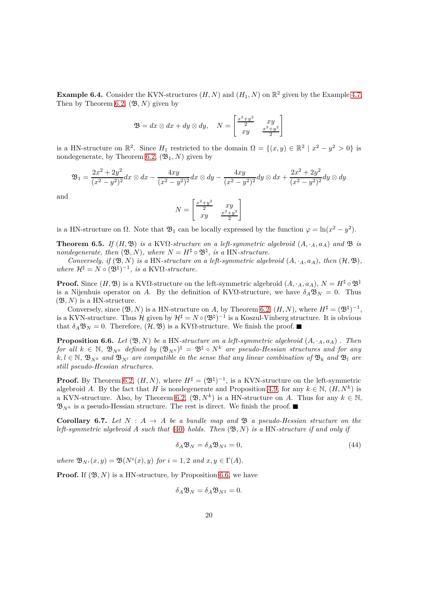**Example 6.4.** Consider the KVN-structures  $(H, N)$  and  $(H_1, N)$  on  $\mathbb{R}^2$  given by the Example [4.7.](#page-13-1) Then by Theorem [6.2,](#page-18-5)  $(\mathfrak{B}, N)$  given by

$$
\mathfrak{B} = dx \otimes dx + dy \otimes dy, \quad N = \begin{bmatrix} \frac{x^2 + y^2}{2} & xy \\ xy & \frac{x^2 + y^2}{2} \end{bmatrix}
$$

is a HN-structure on  $\mathbb{R}^2$ . Since  $H_1$  restricted to the domain  $\Omega = \{(x, y) \in \mathbb{R}^2 \mid x^2 - y^2 > 0\}$  is nondegenerate, by Theorem [6.2,](#page-18-5)  $(\mathfrak{B}_1, N)$  given by

$$
\mathfrak{B}_1 = \frac{2x^2 + 2y^2}{(x^2 - y^2)^2} dx \otimes dx - \frac{4xy}{(x^2 - y^2)^2} dx \otimes dy - \frac{4xy}{(x^2 - y^2)^2} dy \otimes dx + \frac{2x^2 + 2y^2}{(x^2 - y^2)^2} dy \otimes dy
$$

and

$$
N = \begin{bmatrix} \frac{x^2 + y^2}{2} & xy \\ xy & \frac{x^2 + y^2}{2} \end{bmatrix}
$$

is a HN-structure on  $\Omega$ . Note that  $\mathfrak{B}_1$  can be locally expressed by the function  $\varphi = \ln(x^2 - y^2)$ .

<span id="page-19-1"></span>**Theorem 6.5.** *If*  $(H, \mathfrak{B})$  *is a* KV $\Omega$ -structure on a left-symmetric algebroid  $(A, \cdot_A, a_A)$  and  $\mathfrak{B}$  *is nondegenerate, then*  $(\mathfrak{B}, N)$ *, where*  $N = H^{\sharp} \circ \mathfrak{B}^{\sharp}$ *, is a* HN-structure.

*Conversely, if*  $(\mathfrak{B}, N)$  *is a* HN-structure on a left-symmetric algebroid  $(A, \cdot_A, a_A)$ *, then*  $(\mathcal{H}, \mathfrak{B})$ *, where*  $\mathcal{H}^{\sharp} = N \circ (\mathfrak{B}^{\natural})^{-1}$ , *is a* KV $\Omega$ -structure.

**Proof.** Since  $(H, \mathfrak{B})$  is a KV $\Omega$ -structure on the left-symmetric algebroid  $(A, \cdot_A, a_A), N = H^{\sharp} \circ \mathfrak{B}^{\sharp}$ is a Nijenhuis operator on *A*. By the definition of KVΩ-structure, we have  $\delta_A \mathfrak{B}_N = 0$ . Thus  $(\mathfrak{B}, N)$  is a HN-structure.

Conversely, since  $(\mathfrak{B}, N)$  is a HN-structure on *A*, by Theorem [6.2,](#page-18-5)  $(H, N)$ , where  $H^{\sharp} = (\mathfrak{B}^{\sharp})^{-1}$ , is a KVN-structure. Thus  $\mathcal H$  given by  $\mathcal H^\sharp = N \circ (\mathfrak B^\natural)^{-1}$  is a Koszul-Vinberg structure. It is obvious that  $\delta_A \mathfrak{B}_N = 0$ . Therefore,  $(\mathcal{H}, \mathfrak{B})$  is a KV $\Omega$ -structure. We finish the proof.

<span id="page-19-0"></span>**Proposition 6.6.** *Let*  $(\mathfrak{B}, N)$  *be a* HN-structure on a left-symmetric algebroid  $(A, \cdot_A, a_A)$ . Then  $f$ *or* all  $k \in \mathbb{N}$ ,  $\mathfrak{B}_{N^k}$  defined by  $(\mathfrak{B}_{N^k})^{\natural} = \mathfrak{B}^{\natural} \circ N^k$  are pseudo-Hessian structures and for any  $k, l \in \mathbb{N}, \mathfrak{B}_{N^k}$  and  $\mathfrak{B}_{N^l}$  are compatible in the sense that any linear combination of  $\mathfrak{B}_k$  and  $\mathfrak{B}_l$  are *still pseudo-Hessian structures.*

**Proof.** By Theorem [6.2,](#page-18-5)  $(H, N)$ , where  $H^{\sharp} = (\mathfrak{B}^{\sharp})^{-1}$ , is a KVN-structure on the left-symmetric algebroid *A*. By the fact that *H* is nondegenerate and Proposition [4.9,](#page-14-1) for any  $k \in \mathbb{N}$ ,  $(H, N^k)$  is a KVN-structure. Also, by Theorem [6.2,](#page-18-5)  $(\mathfrak{B}, N^k)$  is a HN-structure on *A*. Thus for any  $k \in \mathbb{N}$ ,  $\mathfrak{B}_{N^k}$  is a pseudo-Hessian structure. The rest is direct. We finish the proof.

<span id="page-19-2"></span>**Corollary 6.7.** Let  $N : A \rightarrow A$  be a bundle map and  $\mathfrak{B}$  a pseudo-Hessian structure on the *left-symmetric algebroid A such that* [\(40\)](#page-18-1) *holds. Then* (B*, N*) *is a* HN*-structure if and only if*

$$
\delta_A \mathfrak{B}_N = \delta_A \mathfrak{B}_{N^2} = 0,\tag{44}
$$

*where*  $\mathfrak{B}_{N^i}(x, y) = \mathfrak{B}(N^i(x), y)$  *for*  $i = 1, 2$  *and*  $x, y \in \Gamma(A)$ *.* 

**Proof.** If  $(\mathfrak{B}, N)$  is a HN-structure, by Proposition [6.6,](#page-19-0) we have

$$
\delta_A \mathfrak{B}_N = \delta_A \mathfrak{B}_{N^2} = 0.
$$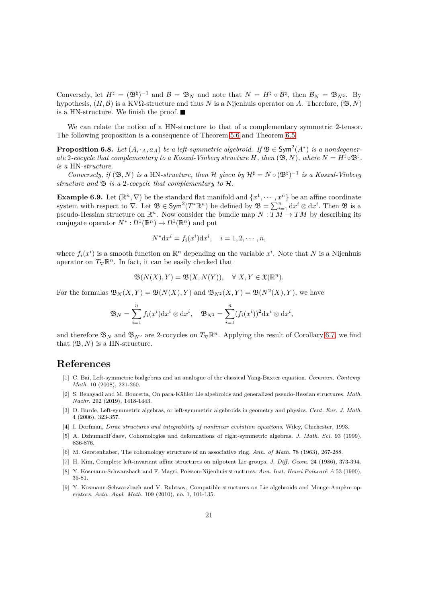Conversely, let  $H^{\sharp} = (\mathfrak{B}^{\sharp})^{-1}$  and  $\mathcal{B} = \mathfrak{B}_N$  and note that  $N = H^{\sharp} \circ \mathcal{B}^{\sharp}$ , then  $\mathcal{B}_N = \mathfrak{B}_{N^2}$ . By hypothesis,  $(H, \mathcal{B})$  is a KV $\Omega$ -structure and thus *N* is a Nijenhuis operator on *A*. Therefore,  $(\mathfrak{B}, N)$ is a HN-structure. We finish the proof.

We can relate the notion of a HN-structure to that of a complementary symmetric 2-tensor. The following proposition is a consequence of Theorem [5.6](#page-15-1) and Theorem [6.5.](#page-19-1)

**Proposition 6.8.** Let  $(A, \cdot_A, a_A)$  be a left-symmetric algebroid. If  $\mathfrak{B} \in \text{Sym}^2(A^*)$  is a nondegener*ate* 2*-cocycle that complementary to a Koszul-Vinberg structure H, then*  $(\mathfrak{B}, N)$ *, where*  $N = H^{\sharp} \circ \mathfrak{B}^{\sharp}$ *, is a* HN*-structure.*

*Conversely, if*  $(\mathfrak{B}, N)$  *is a* HN-structure, then H given by  $\mathcal{H}^{\sharp} = N \circ (\mathfrak{B}^{\natural})^{-1}$  *is a Koszul-Vinberg structure and* B *is a* 2*-cocycle that complementary to* H*.*

**Example 6.9.** Let  $(\mathbb{R}^n, \nabla)$  be the standard flat manifold and  $\{x^1, \dots, x^n\}$  be an affine coordinate system with respect to  $\nabla$ . Let  $\mathfrak{B} \in \text{Sym}^2(T^*\mathbb{R}^n)$  be defined by  $\mathfrak{B} = \sum_{i=1}^n dx^i \otimes dx^i$ . Then  $\mathfrak{B}$  is a pseudo-Hessian structure on  $\mathbb{R}^n$ . Now consider the bundle map  $N: TM \rightarrow TM$  by describing its conjugate operator  $N^*$ :  $\Omega^1(\mathbb{R}^n) \to \Omega^1(\mathbb{R}^n)$  and put

$$
N^*dx^i = f_i(x^i)dx^i, \quad i = 1, 2, \cdots, n,
$$

where  $f_i(x^i)$  is a smooth function on  $\mathbb{R}^n$  depending on the variable  $x^i$ . Note that N is a Nijenhuis operator on  $T_{\nabla} \mathbb{R}^n$ . In fact, it can be easily checked that

$$
\mathfrak{B}(N(X),Y) = \mathfrak{B}(X,N(Y)), \quad \forall \ X, Y \in \mathfrak{X}(\mathbb{R}^n).
$$

For the formulas  $\mathfrak{B}_N(X,Y) = \mathfrak{B}(N(X),Y)$  and  $\mathfrak{B}_{N^2}(X,Y) = \mathfrak{B}(N^2(X),Y)$ , we have

$$
\mathfrak{B}_N = \sum_{i=1}^n f_i(x^i) \mathrm{d} x^i \otimes \mathrm{d} x^i, \quad \mathfrak{B}_{N^2} = \sum_{i=1}^n (f_i(x^i))^2 \mathrm{d} x^i \otimes \mathrm{d} x^i,
$$

and therefore  $\mathfrak{B}_N$  and  $\mathfrak{B}_{N^2}$  are 2-cocycles on  $T_{\nabla} \mathbb{R}^n$ . Applying the result of Corollary [6.7,](#page-19-2) we find that  $(\mathfrak{B}, N)$  is a HN-structure.

## **References**

- [1] C. Bai, Left-symmetric bialgebras and an analogue of the classical Yang-Baxter equation. *Commun. Contemp. Math.* 10 (2008), 221-260.
- <span id="page-20-2"></span>[2] S. Benayadi and M. Boucetta, On para-Kähler Lie algebroids and generalized pseudo-Hessian structures. Math. *Nachr.* 292 (2019), 1418-1443.
- [3] D. Burde, Left-symmetric algebras, or left-symmetric algebroids in geometry and physics. *Cent. Eur. J. Math.* 4 (2006), 323-357.
- <span id="page-20-5"></span>[4] I. Dorfman, *Dirac structures and integrability of nonlinear evolution equations,* Wiley, Chichester, 1993.
- [5] A. Dzhumadil′daev, Cohomologies and deformations of right-symmetric algebras. *J. Math. Sci.* 93 (1999), 836-876.
- <span id="page-20-1"></span><span id="page-20-0"></span>[6] M. Gerstenhaber, The cohomology structure of an associative ring. *Ann. of Math.* 78 (1963), 267-288.
- <span id="page-20-3"></span>[7] H. Kim, Complete left-invariant affine structures on nilpotent Lie groups. *J. Diff. Geom.* 24 (1986), 373-394.
- [8] Y. Kosmann-Schwarzbach and F. Magri, Poisson-Nijenhuis structures. *Ann. Inst. Henri Poincare*´ *A* 53 (1990), 35-81.
- <span id="page-20-4"></span>[9] Y. Kosmann-Schwarzbach and V. Rubtsov, Compatible structures on Lie algebroids and Monge-Ampère operators. *Acta. Appl. Math.* 109 (2010), no. 1, 101-135.